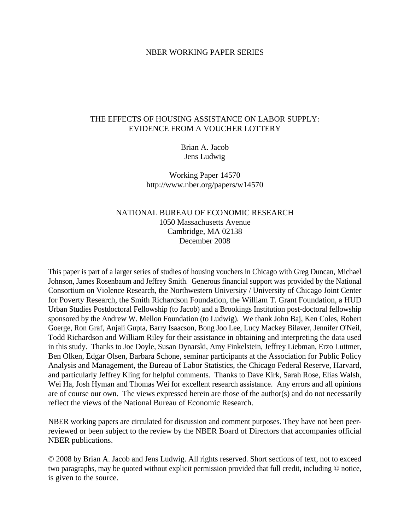### NBER WORKING PAPER SERIES

# THE EFFECTS OF HOUSING ASSISTANCE ON LABOR SUPPLY: EVIDENCE FROM A VOUCHER LOTTERY

Brian A. Jacob Jens Ludwig

Working Paper 14570 http://www.nber.org/papers/w14570

# NATIONAL BUREAU OF ECONOMIC RESEARCH 1050 Massachusetts Avenue Cambridge, MA 02138 December 2008

This paper is part of a larger series of studies of housing vouchers in Chicago with Greg Duncan, Michael Johnson, James Rosenbaum and Jeffrey Smith. Generous financial support was provided by the National Consortium on Violence Research, the Northwestern University / University of Chicago Joint Center for Poverty Research, the Smith Richardson Foundation, the William T. Grant Foundation, a HUD Urban Studies Postdoctoral Fellowship (to Jacob) and a Brookings Institution post-doctoral fellowship sponsored by the Andrew W. Mellon Foundation (to Ludwig). We thank John Baj, Ken Coles, Robert Goerge, Ron Graf, Anjali Gupta, Barry Isaacson, Bong Joo Lee, Lucy Mackey Bilaver, Jennifer O'Neil, Todd Richardson and William Riley for their assistance in obtaining and interpreting the data used in this study. Thanks to Joe Doyle, Susan Dynarski, Amy Finkelstein, Jeffrey Liebman, Erzo Luttmer, Ben Olken, Edgar Olsen, Barbara Schone, seminar participants at the Association for Public Policy Analysis and Management, the Bureau of Labor Statistics, the Chicago Federal Reserve, Harvard, and particularly Jeffrey Kling for helpful comments. Thanks to Dave Kirk, Sarah Rose, Elias Walsh, Wei Ha, Josh Hyman and Thomas Wei for excellent research assistance. Any errors and all opinions are of course our own. The views expressed herein are those of the author(s) and do not necessarily reflect the views of the National Bureau of Economic Research.

NBER working papers are circulated for discussion and comment purposes. They have not been peerreviewed or been subject to the review by the NBER Board of Directors that accompanies official NBER publications.

© 2008 by Brian A. Jacob and Jens Ludwig. All rights reserved. Short sections of text, not to exceed two paragraphs, may be quoted without explicit permission provided that full credit, including © notice, is given to the source.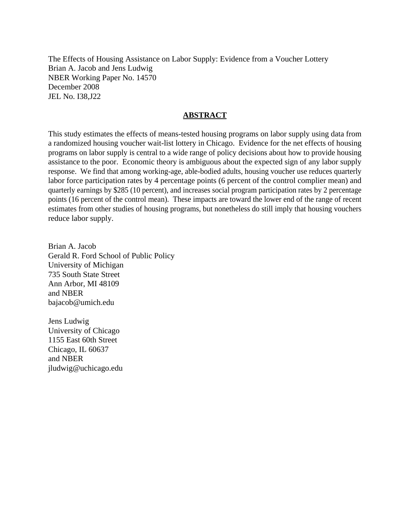The Effects of Housing Assistance on Labor Supply: Evidence from a Voucher Lottery Brian A. Jacob and Jens Ludwig NBER Working Paper No. 14570 December 2008 JEL No. I38,J22

# **ABSTRACT**

This study estimates the effects of means-tested housing programs on labor supply using data from a randomized housing voucher wait-list lottery in Chicago. Evidence for the net effects of housing programs on labor supply is central to a wide range of policy decisions about how to provide housing assistance to the poor. Economic theory is ambiguous about the expected sign of any labor supply response. We find that among working-age, able-bodied adults, housing voucher use reduces quarterly labor force participation rates by 4 percentage points (6 percent of the control complier mean) and quarterly earnings by \$285 (10 percent), and increases social program participation rates by 2 percentage points (16 percent of the control mean). These impacts are toward the lower end of the range of recent estimates from other studies of housing programs, but nonetheless do still imply that housing vouchers reduce labor supply.

Brian A. Jacob Gerald R. Ford School of Public Policy University of Michigan 735 South State Street Ann Arbor, MI 48109 and NBER bajacob@umich.edu

Jens Ludwig University of Chicago 1155 East 60th Street Chicago, IL 60637 and NBER jludwig@uchicago.edu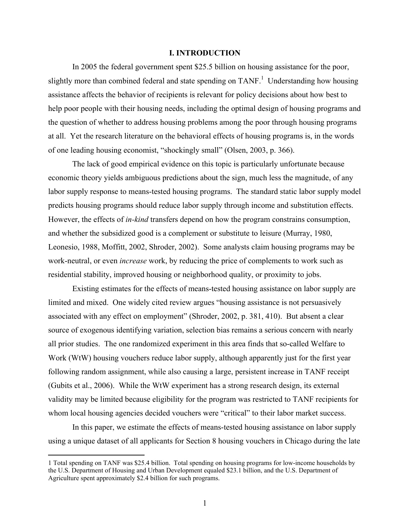### **I. INTRODUCTION**

In 2005 the federal government spent \$25.5 billion on housing assistance for the poor, slightly more than combined federal and state spending on TANF.<sup>1</sup> Understanding how housing assistance affects the behavior of recipients is relevant for policy decisions about how best to help poor people with their housing needs, including the optimal design of housing programs and the question of whether to address housing problems among the poor through housing programs at all. Yet the research literature on the behavioral effects of housing programs is, in the words of one leading housing economist, "shockingly small" (Olsen, 2003, p. 366).

The lack of good empirical evidence on this topic is particularly unfortunate because economic theory yields ambiguous predictions about the sign, much less the magnitude, of any labor supply response to means-tested housing programs. The standard static labor supply model predicts housing programs should reduce labor supply through income and substitution effects. However, the effects of *in-kind* transfers depend on how the program constrains consumption, and whether the subsidized good is a complement or substitute to leisure (Murray, 1980, Leonesio, 1988, Moffitt, 2002, Shroder, 2002). Some analysts claim housing programs may be work-neutral, or even *increase* work, by reducing the price of complements to work such as residential stability, improved housing or neighborhood quality, or proximity to jobs.

Existing estimates for the effects of means-tested housing assistance on labor supply are limited and mixed. One widely cited review argues "housing assistance is not persuasively associated with any effect on employment" (Shroder, 2002, p. 381, 410). But absent a clear source of exogenous identifying variation, selection bias remains a serious concern with nearly all prior studies. The one randomized experiment in this area finds that so-called Welfare to Work (WtW) housing vouchers reduce labor supply, although apparently just for the first year following random assignment, while also causing a large, persistent increase in TANF receipt (Gubits et al., 2006). While the WtW experiment has a strong research design, its external validity may be limited because eligibility for the program was restricted to TANF recipients for whom local housing agencies decided vouchers were "critical" to their labor market success.

In this paper, we estimate the effects of means-tested housing assistance on labor supply using a unique dataset of all applicants for Section 8 housing vouchers in Chicago during the late

 <sup>1</sup> Total spending on TANF was \$25.4 billion. Total spending on housing programs for low-income households by the U.S. Department of Housing and Urban Development equaled \$23.1 billion, and the U.S. Department of Agriculture spent approximately \$2.4 billion for such programs.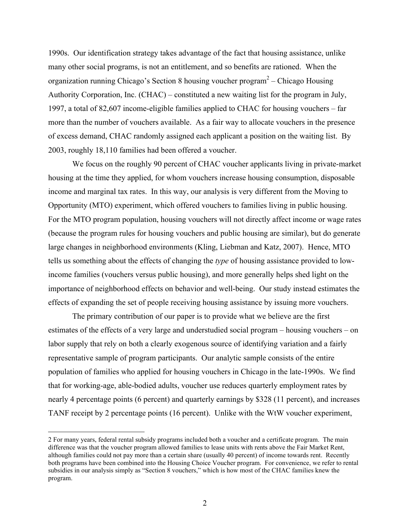1990s. Our identification strategy takes advantage of the fact that housing assistance, unlike many other social programs, is not an entitlement, and so benefits are rationed. When the organization running Chicago's Section 8 housing voucher program2 – Chicago Housing Authority Corporation, Inc. (CHAC) – constituted a new waiting list for the program in July, 1997, a total of 82,607 income-eligible families applied to CHAC for housing vouchers – far more than the number of vouchers available. As a fair way to allocate vouchers in the presence of excess demand, CHAC randomly assigned each applicant a position on the waiting list. By 2003, roughly 18,110 families had been offered a voucher.

We focus on the roughly 90 percent of CHAC voucher applicants living in private-market housing at the time they applied, for whom vouchers increase housing consumption, disposable income and marginal tax rates. In this way, our analysis is very different from the Moving to Opportunity (MTO) experiment, which offered vouchers to families living in public housing. For the MTO program population, housing vouchers will not directly affect income or wage rates (because the program rules for housing vouchers and public housing are similar), but do generate large changes in neighborhood environments (Kling, Liebman and Katz, 2007). Hence, MTO tells us something about the effects of changing the *type* of housing assistance provided to lowincome families (vouchers versus public housing), and more generally helps shed light on the importance of neighborhood effects on behavior and well-being. Our study instead estimates the effects of expanding the set of people receiving housing assistance by issuing more vouchers.

The primary contribution of our paper is to provide what we believe are the first estimates of the effects of a very large and understudied social program – housing vouchers – on labor supply that rely on both a clearly exogenous source of identifying variation and a fairly representative sample of program participants. Our analytic sample consists of the entire population of families who applied for housing vouchers in Chicago in the late-1990s. We find that for working-age, able-bodied adults, voucher use reduces quarterly employment rates by nearly 4 percentage points (6 percent) and quarterly earnings by \$328 (11 percent), and increases TANF receipt by 2 percentage points (16 percent). Unlike with the WtW voucher experiment,

 <sup>2</sup> For many years, federal rental subsidy programs included both a voucher and a certificate program. The main difference was that the voucher program allowed families to lease units with rents above the Fair Market Rent, although families could not pay more than a certain share (usually 40 percent) of income towards rent. Recently both programs have been combined into the Housing Choice Voucher program. For convenience, we refer to rental subsidies in our analysis simply as "Section 8 vouchers," which is how most of the CHAC families knew the program.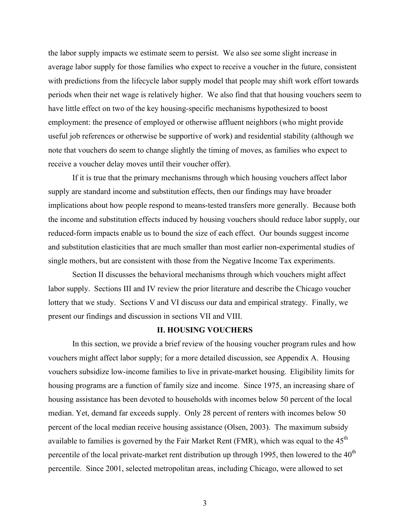the labor supply impacts we estimate seem to persist. We also see some slight increase in average labor supply for those families who expect to receive a voucher in the future, consistent with predictions from the lifecycle labor supply model that people may shift work effort towards periods when their net wage is relatively higher. We also find that that housing vouchers seem to have little effect on two of the key housing-specific mechanisms hypothesized to boost employment: the presence of employed or otherwise affluent neighbors (who might provide useful job references or otherwise be supportive of work) and residential stability (although we note that vouchers do seem to change slightly the timing of moves, as families who expect to receive a voucher delay moves until their voucher offer).

If it is true that the primary mechanisms through which housing vouchers affect labor supply are standard income and substitution effects, then our findings may have broader implications about how people respond to means-tested transfers more generally. Because both the income and substitution effects induced by housing vouchers should reduce labor supply, our reduced-form impacts enable us to bound the size of each effect. Our bounds suggest income and substitution elasticities that are much smaller than most earlier non-experimental studies of single mothers, but are consistent with those from the Negative Income Tax experiments.

Section II discusses the behavioral mechanisms through which vouchers might affect labor supply. Sections III and IV review the prior literature and describe the Chicago voucher lottery that we study. Sections V and VI discuss our data and empirical strategy. Finally, we present our findings and discussion in sections VII and VIII.

### **II. HOUSING VOUCHERS**

In this section, we provide a brief review of the housing voucher program rules and how vouchers might affect labor supply; for a more detailed discussion, see Appendix A. Housing vouchers subsidize low-income families to live in private-market housing. Eligibility limits for housing programs are a function of family size and income. Since 1975, an increasing share of housing assistance has been devoted to households with incomes below 50 percent of the local median. Yet, demand far exceeds supply. Only 28 percent of renters with incomes below 50 percent of the local median receive housing assistance (Olsen, 2003). The maximum subsidy available to families is governed by the Fair Market Rent (FMR), which was equal to the  $45<sup>th</sup>$ percentile of the local private-market rent distribution up through 1995, then lowered to the  $40<sup>th</sup>$ percentile. Since 2001, selected metropolitan areas, including Chicago, were allowed to set

3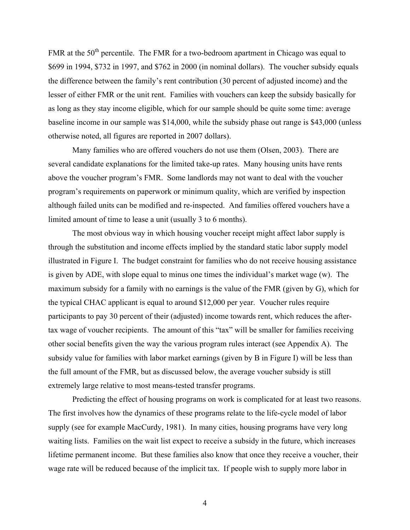FMR at the  $50<sup>th</sup>$  percentile. The FMR for a two-bedroom apartment in Chicago was equal to \$699 in 1994, \$732 in 1997, and \$762 in 2000 (in nominal dollars). The voucher subsidy equals the difference between the family's rent contribution (30 percent of adjusted income) and the lesser of either FMR or the unit rent. Families with vouchers can keep the subsidy basically for as long as they stay income eligible, which for our sample should be quite some time: average baseline income in our sample was \$14,000, while the subsidy phase out range is \$43,000 (unless otherwise noted, all figures are reported in 2007 dollars).

Many families who are offered vouchers do not use them (Olsen, 2003). There are several candidate explanations for the limited take-up rates. Many housing units have rents above the voucher program's FMR. Some landlords may not want to deal with the voucher program's requirements on paperwork or minimum quality, which are verified by inspection although failed units can be modified and re-inspected. And families offered vouchers have a limited amount of time to lease a unit (usually 3 to 6 months).

The most obvious way in which housing voucher receipt might affect labor supply is through the substitution and income effects implied by the standard static labor supply model illustrated in Figure I. The budget constraint for families who do not receive housing assistance is given by ADE, with slope equal to minus one times the individual's market wage (w). The maximum subsidy for a family with no earnings is the value of the FMR (given by G), which for the typical CHAC applicant is equal to around \$12,000 per year. Voucher rules require participants to pay 30 percent of their (adjusted) income towards rent, which reduces the aftertax wage of voucher recipients. The amount of this "tax" will be smaller for families receiving other social benefits given the way the various program rules interact (see Appendix A). The subsidy value for families with labor market earnings (given by B in Figure I) will be less than the full amount of the FMR, but as discussed below, the average voucher subsidy is still extremely large relative to most means-tested transfer programs.

Predicting the effect of housing programs on work is complicated for at least two reasons. The first involves how the dynamics of these programs relate to the life-cycle model of labor supply (see for example MacCurdy, 1981). In many cities, housing programs have very long waiting lists. Families on the wait list expect to receive a subsidy in the future, which increases lifetime permanent income. But these families also know that once they receive a voucher, their wage rate will be reduced because of the implicit tax. If people wish to supply more labor in

4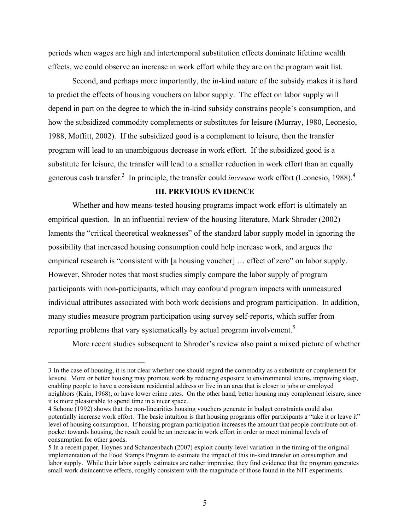periods when wages are high and intertemporal substitution effects dominate lifetime wealth effects, we could observe an increase in work effort while they are on the program wait list.

Second, and perhaps more importantly, the in-kind nature of the subsidy makes it is hard to predict the effects of housing vouchers on labor supply. The effect on labor supply will depend in part on the degree to which the in-kind subsidy constrains people's consumption, and how the subsidized commodity complements or substitutes for leisure (Murray, 1980, Leonesio, 1988, Moffitt, 2002). If the subsidized good is a complement to leisure, then the transfer program will lead to an unambiguous decrease in work effort. If the subsidized good is a substitute for leisure, the transfer will lead to a smaller reduction in work effort than an equally generous cash transfer.<sup>3</sup> In principle, the transfer could *increase* work effort (Leonesio, 1988).<sup>4</sup>

# **III. PREVIOUS EVIDENCE**

Whether and how means-tested housing programs impact work effort is ultimately an empirical question. In an influential review of the housing literature, Mark Shroder (2002) laments the "critical theoretical weaknesses" of the standard labor supply model in ignoring the possibility that increased housing consumption could help increase work, and argues the empirical research is "consistent with [a housing voucher] … effect of zero" on labor supply. However, Shroder notes that most studies simply compare the labor supply of program participants with non-participants, which may confound program impacts with unmeasured individual attributes associated with both work decisions and program participation. In addition, many studies measure program participation using survey self-reports, which suffer from reporting problems that vary systematically by actual program involvement.<sup>5</sup>

More recent studies subsequent to Shroder's review also paint a mixed picture of whether

 <sup>3</sup> In the case of housing, it is not clear whether one should regard the commodity as a substitute or complement for leisure. More or better housing may promote work by reducing exposure to environmental toxins, improving sleep, enabling people to have a consistent residential address or live in an area that is closer to jobs or employed neighbors (Kain, 1968), or have lower crime rates. On the other hand, better housing may complement leisure, since it is more pleasurable to spend time in a nicer space.

<sup>4</sup> Schone (1992) shows that the non-linearities housing vouchers generate in budget constraints could also potentially increase work effort. The basic intuition is that housing programs offer participants a "take it or leave it" level of housing consumption. If housing program participation increases the amount that people contribute out-ofpocket towards housing, the result could be an increase in work effort in order to meet minimal levels of consumption for other goods.

<sup>5</sup> In a recent paper, Hoynes and Schanzenbach (2007) exploit county-level variation in the timing of the original implementation of the Food Stamps Program to estimate the impact of this in-kind transfer on consumption and labor supply. While their labor supply estimates are rather imprecise, they find evidence that the program generates small work disincentive effects, roughly consistent with the magnitude of those found in the NIT experiments.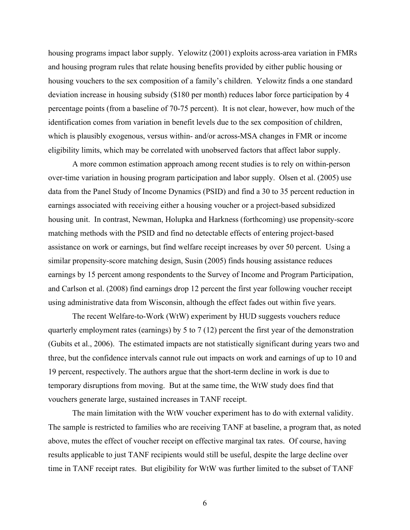housing programs impact labor supply. Yelowitz (2001) exploits across-area variation in FMRs and housing program rules that relate housing benefits provided by either public housing or housing vouchers to the sex composition of a family's children. Yelowitz finds a one standard deviation increase in housing subsidy (\$180 per month) reduces labor force participation by 4 percentage points (from a baseline of 70-75 percent). It is not clear, however, how much of the identification comes from variation in benefit levels due to the sex composition of children, which is plausibly exogenous, versus within- and/or across-MSA changes in FMR or income eligibility limits, which may be correlated with unobserved factors that affect labor supply.

A more common estimation approach among recent studies is to rely on within-person over-time variation in housing program participation and labor supply. Olsen et al. (2005) use data from the Panel Study of Income Dynamics (PSID) and find a 30 to 35 percent reduction in earnings associated with receiving either a housing voucher or a project-based subsidized housing unit. In contrast, Newman, Holupka and Harkness (forthcoming) use propensity-score matching methods with the PSID and find no detectable effects of entering project-based assistance on work or earnings, but find welfare receipt increases by over 50 percent. Using a similar propensity-score matching design, Susin (2005) finds housing assistance reduces earnings by 15 percent among respondents to the Survey of Income and Program Participation, and Carlson et al. (2008) find earnings drop 12 percent the first year following voucher receipt using administrative data from Wisconsin, although the effect fades out within five years.

The recent Welfare-to-Work (WtW) experiment by HUD suggests vouchers reduce quarterly employment rates (earnings) by 5 to 7 (12) percent the first year of the demonstration (Gubits et al., 2006). The estimated impacts are not statistically significant during years two and three, but the confidence intervals cannot rule out impacts on work and earnings of up to 10 and 19 percent, respectively. The authors argue that the short-term decline in work is due to temporary disruptions from moving. But at the same time, the WtW study does find that vouchers generate large, sustained increases in TANF receipt.

The main limitation with the WtW voucher experiment has to do with external validity. The sample is restricted to families who are receiving TANF at baseline, a program that, as noted above, mutes the effect of voucher receipt on effective marginal tax rates. Of course, having results applicable to just TANF recipients would still be useful, despite the large decline over time in TANF receipt rates. But eligibility for WtW was further limited to the subset of TANF

6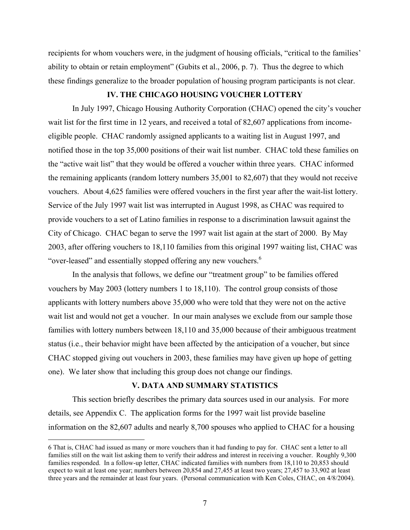recipients for whom vouchers were, in the judgment of housing officials, "critical to the families' ability to obtain or retain employment" (Gubits et al., 2006, p. 7). Thus the degree to which these findings generalize to the broader population of housing program participants is not clear.

# **IV. THE CHICAGO HOUSING VOUCHER LOTTERY**

In July 1997, Chicago Housing Authority Corporation (CHAC) opened the city's voucher wait list for the first time in 12 years, and received a total of 82,607 applications from incomeeligible people. CHAC randomly assigned applicants to a waiting list in August 1997, and notified those in the top 35,000 positions of their wait list number. CHAC told these families on the "active wait list" that they would be offered a voucher within three years. CHAC informed the remaining applicants (random lottery numbers 35,001 to 82,607) that they would not receive vouchers. About 4,625 families were offered vouchers in the first year after the wait-list lottery. Service of the July 1997 wait list was interrupted in August 1998, as CHAC was required to provide vouchers to a set of Latino families in response to a discrimination lawsuit against the City of Chicago. CHAC began to serve the 1997 wait list again at the start of 2000. By May 2003, after offering vouchers to 18,110 families from this original 1997 waiting list, CHAC was "over-leased" and essentially stopped offering any new vouchers.<sup>6</sup>

In the analysis that follows, we define our "treatment group" to be families offered vouchers by May 2003 (lottery numbers 1 to 18,110). The control group consists of those applicants with lottery numbers above 35,000 who were told that they were not on the active wait list and would not get a voucher. In our main analyses we exclude from our sample those families with lottery numbers between 18,110 and 35,000 because of their ambiguous treatment status (i.e., their behavior might have been affected by the anticipation of a voucher, but since CHAC stopped giving out vouchers in 2003, these families may have given up hope of getting one). We later show that including this group does not change our findings.

# **V. DATA AND SUMMARY STATISTICS**

This section briefly describes the primary data sources used in our analysis. For more details, see Appendix C. The application forms for the 1997 wait list provide baseline information on the 82,607 adults and nearly 8,700 spouses who applied to CHAC for a housing

 <sup>6</sup> That is, CHAC had issued as many or more vouchers than it had funding to pay for. CHAC sent a letter to all families still on the wait list asking them to verify their address and interest in receiving a voucher. Roughly 9,300 families responded. In a follow-up letter, CHAC indicated families with numbers from 18,110 to 20,853 should expect to wait at least one year; numbers between 20,854 and 27,455 at least two years; 27,457 to 33,902 at least three years and the remainder at least four years. (Personal communication with Ken Coles, CHAC, on 4/8/2004).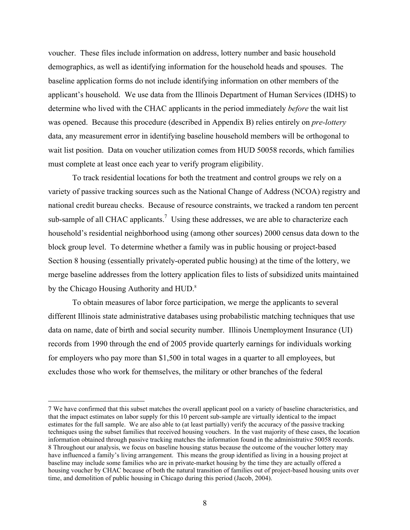voucher. These files include information on address, lottery number and basic household demographics, as well as identifying information for the household heads and spouses. The baseline application forms do not include identifying information on other members of the applicant's household. We use data from the Illinois Department of Human Services (IDHS) to determine who lived with the CHAC applicants in the period immediately *before* the wait list was opened. Because this procedure (described in Appendix B) relies entirely on *pre-lottery* data, any measurement error in identifying baseline household members will be orthogonal to wait list position. Data on voucher utilization comes from HUD 50058 records, which families must complete at least once each year to verify program eligibility.

To track residential locations for both the treatment and control groups we rely on a variety of passive tracking sources such as the National Change of Address (NCOA) registry and national credit bureau checks. Because of resource constraints, we tracked a random ten percent sub-sample of all CHAC applicants.<sup>7</sup> Using these addresses, we are able to characterize each household's residential neighborhood using (among other sources) 2000 census data down to the block group level. To determine whether a family was in public housing or project-based Section 8 housing (essentially privately-operated public housing) at the time of the lottery, we merge baseline addresses from the lottery application files to lists of subsidized units maintained by the Chicago Housing Authority and HUD.<sup>8</sup>

To obtain measures of labor force participation, we merge the applicants to several different Illinois state administrative databases using probabilistic matching techniques that use data on name, date of birth and social security number. Illinois Unemployment Insurance (UI) records from 1990 through the end of 2005 provide quarterly earnings for individuals working for employers who pay more than \$1,500 in total wages in a quarter to all employees, but excludes those who work for themselves, the military or other branches of the federal

 <sup>7</sup> We have confirmed that this subset matches the overall applicant pool on a variety of baseline characteristics, and that the impact estimates on labor supply for this 10 percent sub-sample are virtually identical to the impact estimates for the full sample. We are also able to (at least partially) verify the accuracy of the passive tracking techniques using the subset families that received housing vouchers. In the vast majority of these cases, the location information obtained through passive tracking matches the information found in the administrative 50058 records. 8 Throughout our analysis, we focus on baseline housing status because the outcome of the voucher lottery may have influenced a family's living arrangement. This means the group identified as living in a housing project at baseline may include some families who are in private-market housing by the time they are actually offered a housing voucher by CHAC because of both the natural transition of families out of project-based housing units over time, and demolition of public housing in Chicago during this period (Jacob, 2004).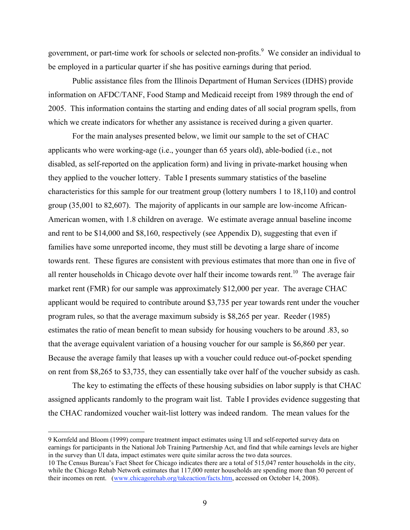government, or part-time work for schools or selected non-profits.<sup>9</sup> We consider an individual to be employed in a particular quarter if she has positive earnings during that period.

Public assistance files from the Illinois Department of Human Services (IDHS) provide information on AFDC/TANF, Food Stamp and Medicaid receipt from 1989 through the end of 2005. This information contains the starting and ending dates of all social program spells, from which we create indicators for whether any assistance is received during a given quarter.

For the main analyses presented below, we limit our sample to the set of CHAC applicants who were working-age (i.e., younger than 65 years old), able-bodied (i.e., not disabled, as self-reported on the application form) and living in private-market housing when they applied to the voucher lottery. Table I presents summary statistics of the baseline characteristics for this sample for our treatment group (lottery numbers 1 to 18,110) and control group (35,001 to 82,607). The majority of applicants in our sample are low-income African-American women, with 1.8 children on average. We estimate average annual baseline income and rent to be \$14,000 and \$8,160, respectively (see Appendix D), suggesting that even if families have some unreported income, they must still be devoting a large share of income towards rent. These figures are consistent with previous estimates that more than one in five of all renter households in Chicago devote over half their income towards rent.<sup>10</sup> The average fair market rent (FMR) for our sample was approximately \$12,000 per year. The average CHAC applicant would be required to contribute around \$3,735 per year towards rent under the voucher program rules, so that the average maximum subsidy is \$8,265 per year. Reeder (1985) estimates the ratio of mean benefit to mean subsidy for housing vouchers to be around .83, so that the average equivalent variation of a housing voucher for our sample is \$6,860 per year. Because the average family that leases up with a voucher could reduce out-of-pocket spending on rent from \$8,265 to \$3,735, they can essentially take over half of the voucher subsidy as cash.

The key to estimating the effects of these housing subsidies on labor supply is that CHAC assigned applicants randomly to the program wait list. Table I provides evidence suggesting that the CHAC randomized voucher wait-list lottery was indeed random. The mean values for the

 9 Kornfeld and Bloom (1999) compare treatment impact estimates using UI and self-reported survey data on earnings for participants in the National Job Training Partnership Act, and find that while earnings levels are higher in the survey than UI data, impact estimates were quite similar across the two data sources.

<sup>10</sup> The Census Bureau's Fact Sheet for Chicago indicates there are a total of 515,047 renter households in the city, while the Chicago Rehab Network estimates that 117,000 renter households are spending more than 50 percent of their incomes on rent. (www.chicagorehab.org/takeaction/facts.htm, accessed on October 14, 2008).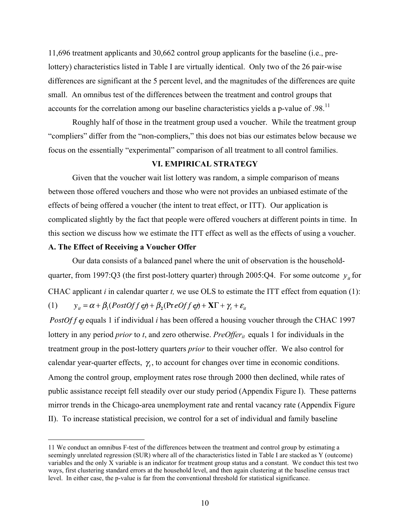11,696 treatment applicants and 30,662 control group applicants for the baseline (i.e., prelottery) characteristics listed in Table I are virtually identical. Only two of the 26 pair-wise differences are significant at the 5 percent level, and the magnitudes of the differences are quite small. An omnibus test of the differences between the treatment and control groups that accounts for the correlation among our baseline characteristics yields a p-value of .98.<sup>11</sup>

Roughly half of those in the treatment group used a voucher. While the treatment group "compliers" differ from the "non-compliers," this does not bias our estimates below because we focus on the essentially "experimental" comparison of all treatment to all control families.

# **VI. EMPIRICAL STRATEGY**

Given that the voucher wait list lottery was random, a simple comparison of means between those offered vouchers and those who were not provides an unbiased estimate of the effects of being offered a voucher (the intent to treat effect, or ITT). Our application is complicated slightly by the fact that people were offered vouchers at different points in time. In this section we discuss how we estimate the ITT effect as well as the effects of using a voucher.

# **A. The Effect of Receiving a Voucher Offer**

Our data consists of a balanced panel where the unit of observation is the householdquarter, from 1997:Q3 (the first post-lottery quarter) through 2005:Q4. For some outcome  $y_{it}$  for CHAC applicant *i* in calendar quarter *t,* we use OLS to estimate the ITT effect from equation (1):  $y_{it} = \alpha + \beta_1 (PostOff \theta t) + \beta_2 (PreOff \theta t) + XY + \gamma_t + \varepsilon_{it}$ (1)

PostOf  $f$  equals 1 if individual  $i$  has been offered a housing voucher through the CHAC 1997 lottery in any period *prior* to *t*, and zero otherwise. *PreOffer<sub>it</sub>* equals 1 for individuals in the treatment group in the post-lottery quarters *prior* to their voucher offer. We also control for calendar year-quarter effects,  $\gamma$ , to account for changes over time in economic conditions. Among the control group, employment rates rose through 2000 then declined, while rates of public assistance receipt fell steadily over our study period (Appendix Figure I). These patterns mirror trends in the Chicago-area unemployment rate and rental vacancy rate (Appendix Figure II). To increase statistical precision, we control for a set of individual and family baseline

 <sup>11</sup> We conduct an omnibus F-test of the differences between the treatment and control group by estimating a seemingly unrelated regression (SUR) where all of the characteristics listed in Table I are stacked as Y (outcome) variables and the only X variable is an indicator for treatment group status and a constant. We conduct this test two ways, first clustering standard errors at the household level, and then again clustering at the baseline census tract level. In either case, the p-value is far from the conventional threshold for statistical significance.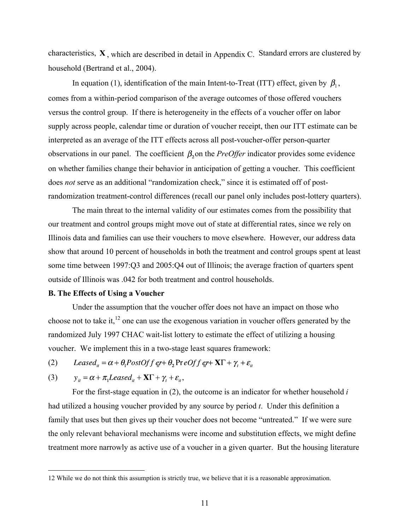characteristics,  $X$ , which are described in detail in Appendix C. Standard errors are clustered by household (Bertrand et al., 2004).

In equation (1), identification of the main Intent-to-Treat (ITT) effect, given by  $\beta_1$ , comes from a within-period comparison of the average outcomes of those offered vouchers versus the control group. If there is heterogeneity in the effects of a voucher offer on labor supply across people, calendar time or duration of voucher receipt, then our ITT estimate can be interpreted as an average of the ITT effects across all post-voucher-offer person-quarter observations in our panel. The coefficient  $\beta_2$  on the *PreOffer* indicator provides some evidence on whether families change their behavior in anticipation of getting a voucher. This coefficient does *not* serve as an additional "randomization check," since it is estimated off of postrandomization treatment-control differences (recall our panel only includes post-lottery quarters).

The main threat to the internal validity of our estimates comes from the possibility that our treatment and control groups might move out of state at differential rates, since we rely on Illinois data and families can use their vouchers to move elsewhere. However, our address data show that around 10 percent of households in both the treatment and control groups spent at least some time between 1997:Q3 and 2005:Q4 out of Illinois; the average fraction of quarters spent outside of Illinois was .042 for both treatment and control households.

#### **B. The Effects of Using a Voucher**

Under the assumption that the voucher offer does not have an impact on those who choose not to take it, $^{12}$  one can use the exogenous variation in voucher offers generated by the randomized July 1997 CHAC wait-list lottery to estimate the effect of utilizing a housing voucher. We implement this in a two-stage least squares framework:

Leased<sub>ii</sub> =  $\alpha + \theta_1$ PostOf f er +  $\theta_2$  Pr eOf f er +  $X\Gamma$  +  $\gamma_t$  +  $\varepsilon_{it}$ (2)

(3) 
$$
y_{it} = \alpha + \pi_1 Leased_{it} + \mathbf{X} \Gamma + \gamma_t + \varepsilon_{it},
$$

For the first-stage equation in (2), the outcome is an indicator for whether household *i*  had utilized a housing voucher provided by any source by period *t*. Under this definition a family that uses but then gives up their voucher does not become "untreated." If we were sure the only relevant behavioral mechanisms were income and substitution effects, we might define treatment more narrowly as active use of a voucher in a given quarter. But the housing literature

 <sup>12</sup> While we do not think this assumption is strictly true, we believe that it is a reasonable approximation.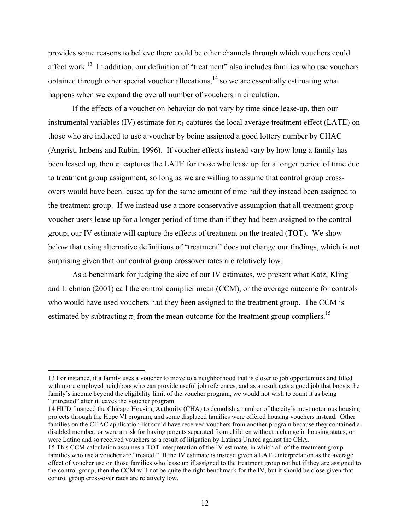provides some reasons to believe there could be other channels through which vouchers could affect work.<sup>13</sup> In addition, our definition of "treatment" also includes families who use vouchers obtained through other special voucher allocations,<sup>14</sup> so we are essentially estimating what happens when we expand the overall number of vouchers in circulation.

If the effects of a voucher on behavior do not vary by time since lease-up, then our instrumental variables (IV) estimate for  $\pi_1$  captures the local average treatment effect (LATE) on those who are induced to use a voucher by being assigned a good lottery number by CHAC (Angrist, Imbens and Rubin, 1996). If voucher effects instead vary by how long a family has been leased up, then  $\pi_1$  captures the LATE for those who lease up for a longer period of time due to treatment group assignment, so long as we are willing to assume that control group crossovers would have been leased up for the same amount of time had they instead been assigned to the treatment group. If we instead use a more conservative assumption that all treatment group voucher users lease up for a longer period of time than if they had been assigned to the control group, our IV estimate will capture the effects of treatment on the treated (TOT). We show below that using alternative definitions of "treatment" does not change our findings, which is not surprising given that our control group crossover rates are relatively low.

As a benchmark for judging the size of our IV estimates, we present what Katz, Kling and Liebman (2001) call the control complier mean (CCM), or the average outcome for controls who would have used vouchers had they been assigned to the treatment group. The CCM is estimated by subtracting  $\pi_1$  from the mean outcome for the treatment group compliers.<sup>15</sup>

14 HUD financed the Chicago Housing Authority (CHA) to demolish a number of the city's most notorious housing projects through the Hope VI program, and some displaced families were offered housing vouchers instead. Other families on the CHAC application list could have received vouchers from another program because they contained a disabled member, or were at risk for having parents separated from children without a change in housing status, or were Latino and so received vouchers as a result of litigation by Latinos United against the CHA.

 <sup>13</sup> For instance, if a family uses a voucher to move to a neighborhood that is closer to job opportunities and filled with more employed neighbors who can provide useful job references, and as a result gets a good job that boosts the family's income beyond the eligibility limit of the voucher program, we would not wish to count it as being "untreated" after it leaves the voucher program.

<sup>15</sup> This CCM calculation assumes a TOT interpretation of the IV estimate, in which all of the treatment group families who use a voucher are "treated." If the IV estimate is instead given a LATE interpretation as the average effect of voucher use on those families who lease up if assigned to the treatment group not but if they are assigned to the control group, then the CCM will not be quite the right benchmark for the IV, but it should be close given that control group cross-over rates are relatively low.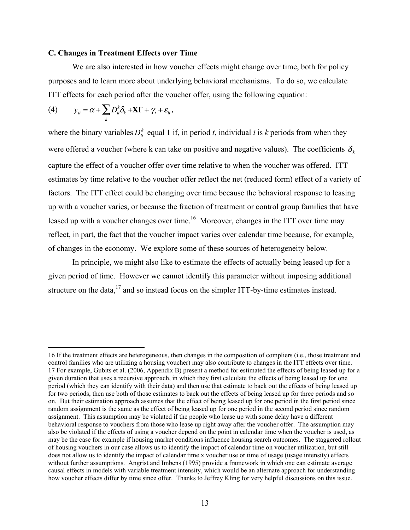### **C. Changes in Treatment Effects over Time**

We are also interested in how voucher effects might change over time, both for policy purposes and to learn more about underlying behavioral mechanisms. To do so, we calculate ITT effects for each period after the voucher offer, using the following equation:

(4) 
$$
y_{it} = \alpha + \sum_{k} D_{it}^{k} \delta_{k} + \mathbf{X} \Gamma + \gamma_{t} + \varepsilon_{it},
$$

where the binary variables  $D_{ii}^k$  equal 1 if, in period *t*, individual *i* is *k* periods from when they were offered a voucher (where k can take on positive and negative values). The coefficients  $\delta_{\iota}$ capture the effect of a voucher offer over time relative to when the voucher was offered. ITT estimates by time relative to the voucher offer reflect the net (reduced form) effect of a variety of factors. The ITT effect could be changing over time because the behavioral response to leasing up with a voucher varies, or because the fraction of treatment or control group families that have leased up with a voucher changes over time.<sup>16</sup> Moreover, changes in the ITT over time may reflect, in part, the fact that the voucher impact varies over calendar time because, for example, of changes in the economy. We explore some of these sources of heterogeneity below.

In principle, we might also like to estimate the effects of actually being leased up for a given period of time. However we cannot identify this parameter without imposing additional structure on the data, $17$  and so instead focus on the simpler ITT-by-time estimates instead.

 <sup>16</sup> If the treatment effects are heterogeneous, then changes in the composition of compliers (i.e., those treatment and control families who are utilizing a housing voucher) may also contribute to changes in the ITT effects over time. 17 For example, Gubits et al. (2006, Appendix B) present a method for estimated the effects of being leased up for a given duration that uses a recursive approach, in which they first calculate the effects of being leased up for one period (which they can identify with their data) and then use that estimate to back out the effects of being leased up for two periods, then use both of those estimates to back out the effects of being leased up for three periods and so on. But their estimation approach assumes that the effect of being leased up for one period in the first period since random assignment is the same as the effect of being leased up for one period in the second period since random assignment. This assumption may be violated if the people who lease up with some delay have a different behavioral response to vouchers from those who lease up right away after the voucher offer. The assumption may also be violated if the effects of using a voucher depend on the point in calendar time when the voucher is used, as may be the case for example if housing market conditions influence housing search outcomes. The staggered rollout of housing vouchers in our case allows us to identify the impact of calendar time on voucher utilization, but still does not allow us to identify the impact of calendar time x voucher use or time of usage (usage intensity) effects without further assumptions. Angrist and Imbens (1995) provide a framework in which one can estimate average causal effects in models with variable treatment intensity, which would be an alternate approach for understanding how voucher effects differ by time since offer. Thanks to Jeffrey Kling for very helpful discussions on this issue.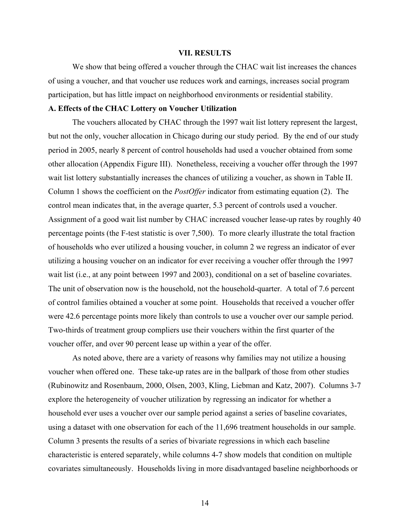### **VII. RESULTS**

We show that being offered a voucher through the CHAC wait list increases the chances of using a voucher, and that voucher use reduces work and earnings, increases social program participation, but has little impact on neighborhood environments or residential stability.

### **A. Effects of the CHAC Lottery on Voucher Utilization**

The vouchers allocated by CHAC through the 1997 wait list lottery represent the largest, but not the only, voucher allocation in Chicago during our study period. By the end of our study period in 2005, nearly 8 percent of control households had used a voucher obtained from some other allocation (Appendix Figure III). Nonetheless, receiving a voucher offer through the 1997 wait list lottery substantially increases the chances of utilizing a voucher, as shown in Table II. Column 1 shows the coefficient on the *PostOffer* indicator from estimating equation (2). The control mean indicates that, in the average quarter, 5.3 percent of controls used a voucher. Assignment of a good wait list number by CHAC increased voucher lease-up rates by roughly 40 percentage points (the F-test statistic is over 7,500). To more clearly illustrate the total fraction of households who ever utilized a housing voucher, in column 2 we regress an indicator of ever utilizing a housing voucher on an indicator for ever receiving a voucher offer through the 1997 wait list (i.e., at any point between 1997 and 2003), conditional on a set of baseline covariates. The unit of observation now is the household, not the household-quarter. A total of 7.6 percent of control families obtained a voucher at some point. Households that received a voucher offer were 42.6 percentage points more likely than controls to use a voucher over our sample period. Two-thirds of treatment group compliers use their vouchers within the first quarter of the voucher offer, and over 90 percent lease up within a year of the offer.

As noted above, there are a variety of reasons why families may not utilize a housing voucher when offered one. These take-up rates are in the ballpark of those from other studies (Rubinowitz and Rosenbaum, 2000, Olsen, 2003, Kling, Liebman and Katz, 2007). Columns 3-7 explore the heterogeneity of voucher utilization by regressing an indicator for whether a household ever uses a voucher over our sample period against a series of baseline covariates, using a dataset with one observation for each of the 11,696 treatment households in our sample. Column 3 presents the results of a series of bivariate regressions in which each baseline characteristic is entered separately, while columns 4-7 show models that condition on multiple covariates simultaneously. Households living in more disadvantaged baseline neighborhoods or

14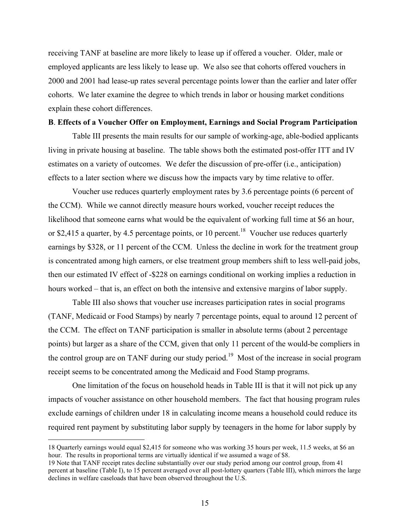receiving TANF at baseline are more likely to lease up if offered a voucher. Older, male or employed applicants are less likely to lease up. We also see that cohorts offered vouchers in 2000 and 2001 had lease-up rates several percentage points lower than the earlier and later offer cohorts. We later examine the degree to which trends in labor or housing market conditions explain these cohort differences.

### **B**. **Effects of a Voucher Offer on Employment, Earnings and Social Program Participation**

Table III presents the main results for our sample of working-age, able-bodied applicants living in private housing at baseline. The table shows both the estimated post-offer ITT and IV estimates on a variety of outcomes. We defer the discussion of pre-offer (i.e., anticipation) effects to a later section where we discuss how the impacts vary by time relative to offer.

Voucher use reduces quarterly employment rates by 3.6 percentage points (6 percent of the CCM). While we cannot directly measure hours worked, voucher receipt reduces the likelihood that someone earns what would be the equivalent of working full time at \$6 an hour, or \$2,415 a quarter, by 4.5 percentage points, or 10 percent.<sup>18</sup> Voucher use reduces quarterly earnings by \$328, or 11 percent of the CCM. Unless the decline in work for the treatment group is concentrated among high earners, or else treatment group members shift to less well-paid jobs, then our estimated IV effect of -\$228 on earnings conditional on working implies a reduction in hours worked – that is, an effect on both the intensive and extensive margins of labor supply.

Table III also shows that voucher use increases participation rates in social programs (TANF, Medicaid or Food Stamps) by nearly 7 percentage points, equal to around 12 percent of the CCM. The effect on TANF participation is smaller in absolute terms (about 2 percentage points) but larger as a share of the CCM, given that only 11 percent of the would-be compliers in the control group are on TANF during our study period.<sup>19</sup> Most of the increase in social program receipt seems to be concentrated among the Medicaid and Food Stamp programs.

One limitation of the focus on household heads in Table III is that it will not pick up any impacts of voucher assistance on other household members. The fact that housing program rules exclude earnings of children under 18 in calculating income means a household could reduce its required rent payment by substituting labor supply by teenagers in the home for labor supply by

 <sup>18</sup> Quarterly earnings would equal \$2,415 for someone who was working 35 hours per week, 11.5 weeks, at \$6 an hour. The results in proportional terms are virtually identical if we assumed a wage of \$8.

<sup>19</sup> Note that TANF receipt rates decline substantially over our study period among our control group, from 41 percent at baseline (Table I), to 15 percent averaged over all post-lottery quarters (Table III), which mirrors the large declines in welfare caseloads that have been observed throughout the U.S.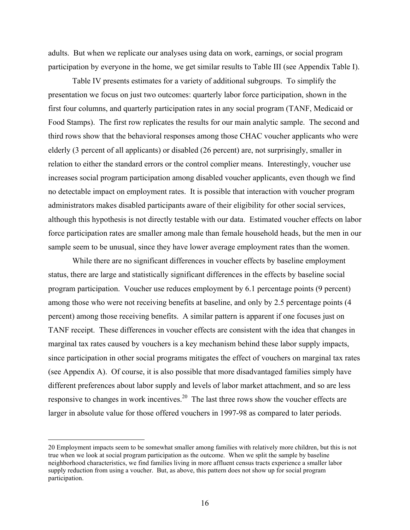adults. But when we replicate our analyses using data on work, earnings, or social program participation by everyone in the home, we get similar results to Table III (see Appendix Table I).

Table IV presents estimates for a variety of additional subgroups. To simplify the presentation we focus on just two outcomes: quarterly labor force participation, shown in the first four columns, and quarterly participation rates in any social program (TANF, Medicaid or Food Stamps). The first row replicates the results for our main analytic sample. The second and third rows show that the behavioral responses among those CHAC voucher applicants who were elderly (3 percent of all applicants) or disabled (26 percent) are, not surprisingly, smaller in relation to either the standard errors or the control complier means. Interestingly, voucher use increases social program participation among disabled voucher applicants, even though we find no detectable impact on employment rates. It is possible that interaction with voucher program administrators makes disabled participants aware of their eligibility for other social services, although this hypothesis is not directly testable with our data. Estimated voucher effects on labor force participation rates are smaller among male than female household heads, but the men in our sample seem to be unusual, since they have lower average employment rates than the women.

While there are no significant differences in voucher effects by baseline employment status, there are large and statistically significant differences in the effects by baseline social program participation. Voucher use reduces employment by 6.1 percentage points (9 percent) among those who were not receiving benefits at baseline, and only by 2.5 percentage points (4 percent) among those receiving benefits. A similar pattern is apparent if one focuses just on TANF receipt. These differences in voucher effects are consistent with the idea that changes in marginal tax rates caused by vouchers is a key mechanism behind these labor supply impacts, since participation in other social programs mitigates the effect of vouchers on marginal tax rates (see Appendix A). Of course, it is also possible that more disadvantaged families simply have different preferences about labor supply and levels of labor market attachment, and so are less responsive to changes in work incentives.<sup>20</sup> The last three rows show the voucher effects are larger in absolute value for those offered vouchers in 1997-98 as compared to later periods.

 <sup>20</sup> Employment impacts seem to be somewhat smaller among families with relatively more children, but this is not true when we look at social program participation as the outcome. When we split the sample by baseline neighborhood characteristics, we find families living in more affluent census tracts experience a smaller labor supply reduction from using a voucher. But, as above, this pattern does not show up for social program participation.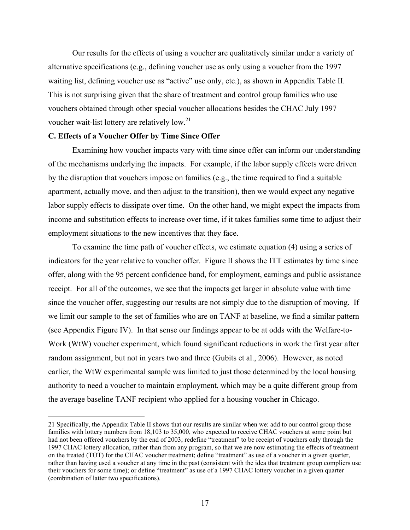Our results for the effects of using a voucher are qualitatively similar under a variety of alternative specifications (e.g., defining voucher use as only using a voucher from the 1997 waiting list, defining voucher use as "active" use only, etc.), as shown in Appendix Table II. This is not surprising given that the share of treatment and control group families who use vouchers obtained through other special voucher allocations besides the CHAC July 1997 voucher wait-list lottery are relatively low.<sup>21</sup>

# **C. Effects of a Voucher Offer by Time Since Offer**

Examining how voucher impacts vary with time since offer can inform our understanding of the mechanisms underlying the impacts. For example, if the labor supply effects were driven by the disruption that vouchers impose on families (e.g., the time required to find a suitable apartment, actually move, and then adjust to the transition), then we would expect any negative labor supply effects to dissipate over time. On the other hand, we might expect the impacts from income and substitution effects to increase over time, if it takes families some time to adjust their employment situations to the new incentives that they face.

To examine the time path of voucher effects, we estimate equation (4) using a series of indicators for the year relative to voucher offer. Figure II shows the ITT estimates by time since offer, along with the 95 percent confidence band, for employment, earnings and public assistance receipt. For all of the outcomes, we see that the impacts get larger in absolute value with time since the voucher offer, suggesting our results are not simply due to the disruption of moving. If we limit our sample to the set of families who are on TANF at baseline, we find a similar pattern (see Appendix Figure IV). In that sense our findings appear to be at odds with the Welfare-to-Work (WtW) voucher experiment, which found significant reductions in work the first year after random assignment, but not in years two and three (Gubits et al., 2006). However, as noted earlier, the WtW experimental sample was limited to just those determined by the local housing authority to need a voucher to maintain employment, which may be a quite different group from the average baseline TANF recipient who applied for a housing voucher in Chicago.

 <sup>21</sup> Specifically, the Appendix Table II shows that our results are similar when we: add to our control group those families with lottery numbers from 18,103 to 35,000, who expected to receive CHAC vouchers at some point but had not been offered vouchers by the end of 2003; redefine "treatment" to be receipt of vouchers only through the 1997 CHAC lottery allocation, rather than from any program, so that we are now estimating the effects of treatment on the treated (TOT) for the CHAC voucher treatment; define "treatment" as use of a voucher in a given quarter, rather than having used a voucher at any time in the past (consistent with the idea that treatment group compliers use their vouchers for some time); or define "treatment" as use of a 1997 CHAC lottery voucher in a given quarter (combination of latter two specifications).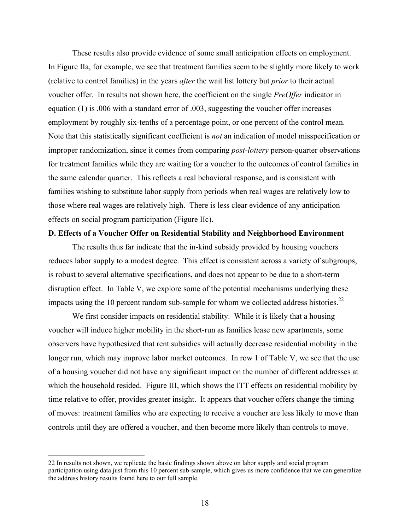These results also provide evidence of some small anticipation effects on employment. In Figure IIa, for example, we see that treatment families seem to be slightly more likely to work (relative to control families) in the years *after* the wait list lottery but *prior* to their actual voucher offer. In results not shown here, the coefficient on the single *PreOffer* indicator in equation (1) is .006 with a standard error of .003, suggesting the voucher offer increases employment by roughly six-tenths of a percentage point, or one percent of the control mean. Note that this statistically significant coefficient is *not* an indication of model misspecification or improper randomization, since it comes from comparing *post-lottery* person-quarter observations for treatment families while they are waiting for a voucher to the outcomes of control families in the same calendar quarter. This reflects a real behavioral response, and is consistent with families wishing to substitute labor supply from periods when real wages are relatively low to those where real wages are relatively high. There is less clear evidence of any anticipation effects on social program participation (Figure IIc).

### **D. Effects of a Voucher Offer on Residential Stability and Neighborhood Environment**

The results thus far indicate that the in-kind subsidy provided by housing vouchers reduces labor supply to a modest degree. This effect is consistent across a variety of subgroups, is robust to several alternative specifications, and does not appear to be due to a short-term disruption effect. In Table V, we explore some of the potential mechanisms underlying these impacts using the 10 percent random sub-sample for whom we collected address histories.<sup>22</sup>

We first consider impacts on residential stability. While it is likely that a housing voucher will induce higher mobility in the short-run as families lease new apartments, some observers have hypothesized that rent subsidies will actually decrease residential mobility in the longer run, which may improve labor market outcomes. In row 1 of Table V, we see that the use of a housing voucher did not have any significant impact on the number of different addresses at which the household resided. Figure III, which shows the ITT effects on residential mobility by time relative to offer, provides greater insight. It appears that voucher offers change the timing of moves: treatment families who are expecting to receive a voucher are less likely to move than controls until they are offered a voucher, and then become more likely than controls to move.

 <sup>22</sup> In results not shown, we replicate the basic findings shown above on labor supply and social program participation using data just from this 10 percent sub-sample, which gives us more confidence that we can generalize the address history results found here to our full sample.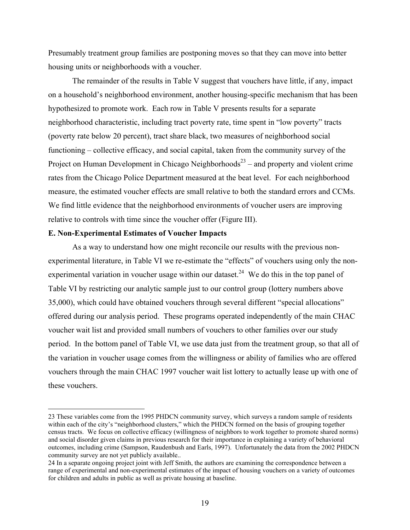Presumably treatment group families are postponing moves so that they can move into better housing units or neighborhoods with a voucher.

The remainder of the results in Table V suggest that vouchers have little, if any, impact on a household's neighborhood environment, another housing-specific mechanism that has been hypothesized to promote work. Each row in Table V presents results for a separate neighborhood characteristic, including tract poverty rate, time spent in "low poverty" tracts (poverty rate below 20 percent), tract share black, two measures of neighborhood social functioning – collective efficacy, and social capital, taken from the community survey of the Project on Human Development in Chicago Neighborhoods<sup>23</sup> – and property and violent crime rates from the Chicago Police Department measured at the beat level. For each neighborhood measure, the estimated voucher effects are small relative to both the standard errors and CCMs. We find little evidence that the neighborhood environments of voucher users are improving relative to controls with time since the voucher offer (Figure III).

### **E. Non-Experimental Estimates of Voucher Impacts**

As a way to understand how one might reconcile our results with the previous nonexperimental literature, in Table VI we re-estimate the "effects" of vouchers using only the nonexperimental variation in voucher usage within our dataset.<sup>24</sup> We do this in the top panel of Table VI by restricting our analytic sample just to our control group (lottery numbers above 35,000), which could have obtained vouchers through several different "special allocations" offered during our analysis period. These programs operated independently of the main CHAC voucher wait list and provided small numbers of vouchers to other families over our study period. In the bottom panel of Table VI, we use data just from the treatment group, so that all of the variation in voucher usage comes from the willingness or ability of families who are offered vouchers through the main CHAC 1997 voucher wait list lottery to actually lease up with one of these vouchers.

 <sup>23</sup> These variables come from the 1995 PHDCN community survey, which surveys a random sample of residents within each of the city's "neighborhood clusters," which the PHDCN formed on the basis of grouping together census tracts. We focus on collective efficacy (willingness of neighbors to work together to promote shared norms) and social disorder given claims in previous research for their importance in explaining a variety of behavioral outcomes, including crime (Sampson, Raudenbush and Earls, 1997). Unfortunately the data from the 2002 PHDCN community survey are not yet publicly available..

<sup>24</sup> In a separate ongoing project joint with Jeff Smith, the authors are examining the correspondence between a range of experimental and non-experimental estimates of the impact of housing vouchers on a variety of outcomes for children and adults in public as well as private housing at baseline.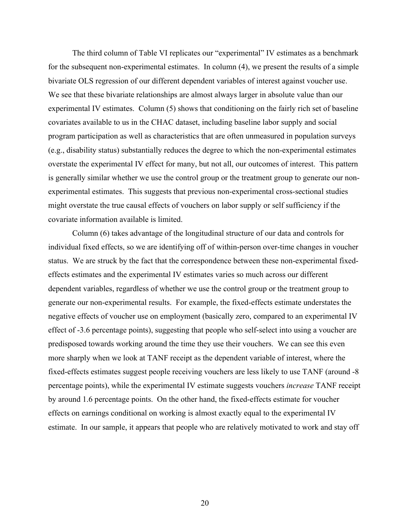The third column of Table VI replicates our "experimental" IV estimates as a benchmark for the subsequent non-experimental estimates. In column (4), we present the results of a simple bivariate OLS regression of our different dependent variables of interest against voucher use. We see that these bivariate relationships are almost always larger in absolute value than our experimental IV estimates. Column (5) shows that conditioning on the fairly rich set of baseline covariates available to us in the CHAC dataset, including baseline labor supply and social program participation as well as characteristics that are often unmeasured in population surveys (e.g., disability status) substantially reduces the degree to which the non-experimental estimates overstate the experimental IV effect for many, but not all, our outcomes of interest. This pattern is generally similar whether we use the control group or the treatment group to generate our nonexperimental estimates. This suggests that previous non-experimental cross-sectional studies might overstate the true causal effects of vouchers on labor supply or self sufficiency if the covariate information available is limited.

Column (6) takes advantage of the longitudinal structure of our data and controls for individual fixed effects, so we are identifying off of within-person over-time changes in voucher status. We are struck by the fact that the correspondence between these non-experimental fixedeffects estimates and the experimental IV estimates varies so much across our different dependent variables, regardless of whether we use the control group or the treatment group to generate our non-experimental results. For example, the fixed-effects estimate understates the negative effects of voucher use on employment (basically zero, compared to an experimental IV effect of -3.6 percentage points), suggesting that people who self-select into using a voucher are predisposed towards working around the time they use their vouchers. We can see this even more sharply when we look at TANF receipt as the dependent variable of interest, where the fixed-effects estimates suggest people receiving vouchers are less likely to use TANF (around -8 percentage points), while the experimental IV estimate suggests vouchers *increase* TANF receipt by around 1.6 percentage points. On the other hand, the fixed-effects estimate for voucher effects on earnings conditional on working is almost exactly equal to the experimental IV estimate. In our sample, it appears that people who are relatively motivated to work and stay off

20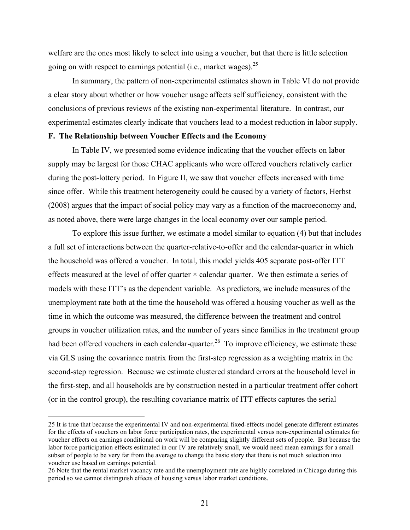welfare are the ones most likely to select into using a voucher, but that there is little selection going on with respect to earnings potential (i.e., market wages).  $2^5$ 

In summary, the pattern of non-experimental estimates shown in Table VI do not provide a clear story about whether or how voucher usage affects self sufficiency, consistent with the conclusions of previous reviews of the existing non-experimental literature. In contrast, our experimental estimates clearly indicate that vouchers lead to a modest reduction in labor supply.

# **F. The Relationship between Voucher Effects and the Economy**

In Table IV, we presented some evidence indicating that the voucher effects on labor supply may be largest for those CHAC applicants who were offered vouchers relatively earlier during the post-lottery period. In Figure II, we saw that voucher effects increased with time since offer. While this treatment heterogeneity could be caused by a variety of factors, Herbst (2008) argues that the impact of social policy may vary as a function of the macroeconomy and, as noted above, there were large changes in the local economy over our sample period.

To explore this issue further, we estimate a model similar to equation (4) but that includes a full set of interactions between the quarter-relative-to-offer and the calendar-quarter in which the household was offered a voucher. In total, this model yields 405 separate post-offer ITT effects measured at the level of offer quarter  $\times$  calendar quarter. We then estimate a series of models with these ITT's as the dependent variable. As predictors, we include measures of the unemployment rate both at the time the household was offered a housing voucher as well as the time in which the outcome was measured, the difference between the treatment and control groups in voucher utilization rates, and the number of years since families in the treatment group had been offered vouchers in each calendar-quarter.<sup>26</sup> To improve efficiency, we estimate these via GLS using the covariance matrix from the first-step regression as a weighting matrix in the second-step regression. Because we estimate clustered standard errors at the household level in the first-step, and all households are by construction nested in a particular treatment offer cohort (or in the control group), the resulting covariance matrix of ITT effects captures the serial

 <sup>25</sup> It is true that because the experimental IV and non-experimental fixed-effects model generate different estimates for the effects of vouchers on labor force participation rates, the experimental versus non-experimental estimates for voucher effects on earnings conditional on work will be comparing slightly different sets of people. But because the labor force participation effects estimated in our IV are relatively small, we would need mean earnings for a small subset of people to be very far from the average to change the basic story that there is not much selection into voucher use based on earnings potential.

<sup>26</sup> Note that the rental market vacancy rate and the unemployment rate are highly correlated in Chicago during this period so we cannot distinguish effects of housing versus labor market conditions.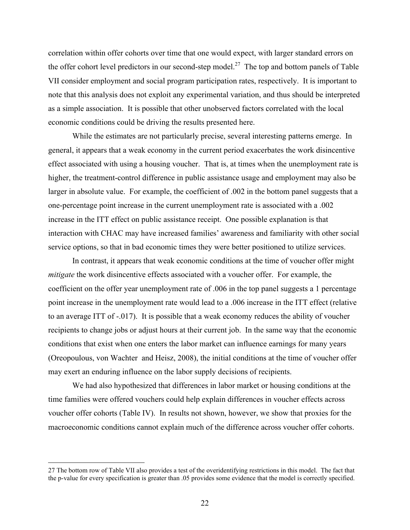correlation within offer cohorts over time that one would expect, with larger standard errors on the offer cohort level predictors in our second-step model.<sup>27</sup> The top and bottom panels of Table VII consider employment and social program participation rates, respectively. It is important to note that this analysis does not exploit any experimental variation, and thus should be interpreted as a simple association. It is possible that other unobserved factors correlated with the local economic conditions could be driving the results presented here.

While the estimates are not particularly precise, several interesting patterns emerge. In general, it appears that a weak economy in the current period exacerbates the work disincentive effect associated with using a housing voucher. That is, at times when the unemployment rate is higher, the treatment-control difference in public assistance usage and employment may also be larger in absolute value. For example, the coefficient of .002 in the bottom panel suggests that a one-percentage point increase in the current unemployment rate is associated with a .002 increase in the ITT effect on public assistance receipt. One possible explanation is that interaction with CHAC may have increased families' awareness and familiarity with other social service options, so that in bad economic times they were better positioned to utilize services.

In contrast, it appears that weak economic conditions at the time of voucher offer might *mitigate* the work disincentive effects associated with a voucher offer. For example, the coefficient on the offer year unemployment rate of .006 in the top panel suggests a 1 percentage point increase in the unemployment rate would lead to a .006 increase in the ITT effect (relative to an average ITT of -.017). It is possible that a weak economy reduces the ability of voucher recipients to change jobs or adjust hours at their current job. In the same way that the economic conditions that exist when one enters the labor market can influence earnings for many years (Oreopoulous, von Wachter and Heisz, 2008), the initial conditions at the time of voucher offer may exert an enduring influence on the labor supply decisions of recipients.

We had also hypothesized that differences in labor market or housing conditions at the time families were offered vouchers could help explain differences in voucher effects across voucher offer cohorts (Table IV). In results not shown, however, we show that proxies for the macroeconomic conditions cannot explain much of the difference across voucher offer cohorts.

 <sup>27</sup> The bottom row of Table VII also provides a test of the overidentifying restrictions in this model. The fact that the p-value for every specification is greater than .05 provides some evidence that the model is correctly specified.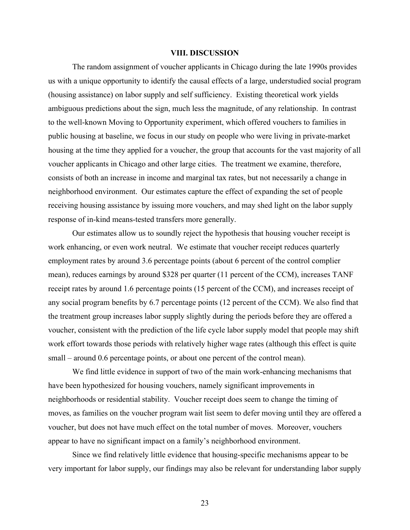### **VIII. DISCUSSION**

The random assignment of voucher applicants in Chicago during the late 1990s provides us with a unique opportunity to identify the causal effects of a large, understudied social program (housing assistance) on labor supply and self sufficiency. Existing theoretical work yields ambiguous predictions about the sign, much less the magnitude, of any relationship. In contrast to the well-known Moving to Opportunity experiment, which offered vouchers to families in public housing at baseline, we focus in our study on people who were living in private-market housing at the time they applied for a voucher, the group that accounts for the vast majority of all voucher applicants in Chicago and other large cities. The treatment we examine, therefore, consists of both an increase in income and marginal tax rates, but not necessarily a change in neighborhood environment. Our estimates capture the effect of expanding the set of people receiving housing assistance by issuing more vouchers, and may shed light on the labor supply response of in-kind means-tested transfers more generally.

Our estimates allow us to soundly reject the hypothesis that housing voucher receipt is work enhancing, or even work neutral. We estimate that voucher receipt reduces quarterly employment rates by around 3.6 percentage points (about 6 percent of the control complier mean), reduces earnings by around \$328 per quarter (11 percent of the CCM), increases TANF receipt rates by around 1.6 percentage points (15 percent of the CCM), and increases receipt of any social program benefits by 6.7 percentage points (12 percent of the CCM). We also find that the treatment group increases labor supply slightly during the periods before they are offered a voucher, consistent with the prediction of the life cycle labor supply model that people may shift work effort towards those periods with relatively higher wage rates (although this effect is quite small – around 0.6 percentage points, or about one percent of the control mean).

We find little evidence in support of two of the main work-enhancing mechanisms that have been hypothesized for housing vouchers, namely significant improvements in neighborhoods or residential stability. Voucher receipt does seem to change the timing of moves, as families on the voucher program wait list seem to defer moving until they are offered a voucher, but does not have much effect on the total number of moves. Moreover, vouchers appear to have no significant impact on a family's neighborhood environment.

Since we find relatively little evidence that housing-specific mechanisms appear to be very important for labor supply, our findings may also be relevant for understanding labor supply

23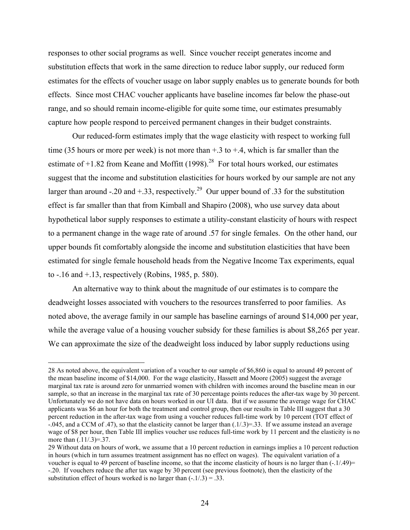responses to other social programs as well. Since voucher receipt generates income and substitution effects that work in the same direction to reduce labor supply, our reduced form estimates for the effects of voucher usage on labor supply enables us to generate bounds for both effects. Since most CHAC voucher applicants have baseline incomes far below the phase-out range, and so should remain income-eligible for quite some time, our estimates presumably capture how people respond to perceived permanent changes in their budget constraints.

Our reduced-form estimates imply that the wage elasticity with respect to working full time (35 hours or more per week) is not more than  $+$ .3 to  $+$ .4, which is far smaller than the estimate of  $+1.82$  from Keane and Moffitt (1998).<sup>28</sup> For total hours worked, our estimates suggest that the income and substitution elasticities for hours worked by our sample are not any larger than around -.20 and +.33, respectively.<sup>29</sup> Our upper bound of .33 for the substitution effect is far smaller than that from Kimball and Shapiro (2008), who use survey data about hypothetical labor supply responses to estimate a utility-constant elasticity of hours with respect to a permanent change in the wage rate of around .57 for single females. On the other hand, our upper bounds fit comfortably alongside the income and substitution elasticities that have been estimated for single female household heads from the Negative Income Tax experiments, equal to -.16 and +.13, respectively (Robins, 1985, p. 580).

An alternative way to think about the magnitude of our estimates is to compare the deadweight losses associated with vouchers to the resources transferred to poor families. As noted above, the average family in our sample has baseline earnings of around \$14,000 per year, while the average value of a housing voucher subsidy for these families is about \$8,265 per year. We can approximate the size of the deadweight loss induced by labor supply reductions using

 <sup>28</sup> As noted above, the equivalent variation of a voucher to our sample of \$6,860 is equal to around 49 percent of the mean baseline income of \$14,000. For the wage elasticity, Hassett and Moore (2005) suggest the average marginal tax rate is around zero for unmarried women with children with incomes around the baseline mean in our sample, so that an increase in the marginal tax rate of 30 percentage points reduces the after-tax wage by 30 percent. Unfortunately we do not have data on hours worked in our UI data. But if we assume the average wage for CHAC applicants was \$6 an hour for both the treatment and control group, then our results in Table III suggest that a 30 percent reduction in the after-tax wage from using a voucher reduces full-time work by 10 percent (TOT effect of -.045, and a CCM of .47), so that the elasticity cannot be larger than (.1/.3)=.33. If we assume instead an average wage of \$8 per hour, then Table III implies voucher use reduces full-time work by 11 percent and the elasticity is no more than  $(.11/.3)=.37.$ 

<sup>29</sup> Without data on hours of work, we assume that a 10 percent reduction in earnings implies a 10 percent reduction in hours (which in turn assumes treatment assignment has no effect on wages). The equivalent variation of a voucher is equal to 49 percent of baseline income, so that the income elasticity of hours is no larger than  $(-1/49)$ = -.20. If vouchers reduce the after tax wage by 30 percent (see previous footnote), then the elasticity of the substitution effect of hours worked is no larger than  $(-1/3) = 0.33$ .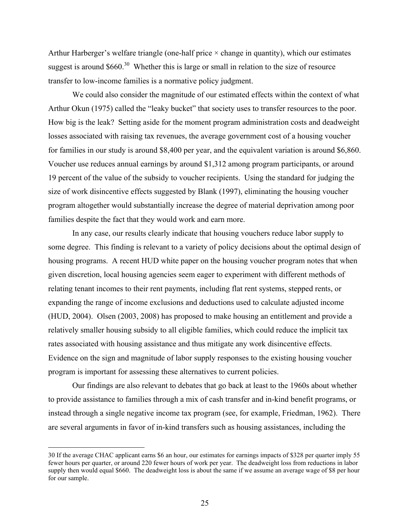Arthur Harberger's welfare triangle (one-half price  $\times$  change in quantity), which our estimates suggest is around  $$660$ <sup>30</sup> Whether this is large or small in relation to the size of resource transfer to low-income families is a normative policy judgment.

We could also consider the magnitude of our estimated effects within the context of what Arthur Okun (1975) called the "leaky bucket" that society uses to transfer resources to the poor. How big is the leak? Setting aside for the moment program administration costs and deadweight losses associated with raising tax revenues, the average government cost of a housing voucher for families in our study is around \$8,400 per year, and the equivalent variation is around \$6,860. Voucher use reduces annual earnings by around \$1,312 among program participants, or around 19 percent of the value of the subsidy to voucher recipients. Using the standard for judging the size of work disincentive effects suggested by Blank (1997), eliminating the housing voucher program altogether would substantially increase the degree of material deprivation among poor families despite the fact that they would work and earn more.

In any case, our results clearly indicate that housing vouchers reduce labor supply to some degree. This finding is relevant to a variety of policy decisions about the optimal design of housing programs. A recent HUD white paper on the housing voucher program notes that when given discretion, local housing agencies seem eager to experiment with different methods of relating tenant incomes to their rent payments, including flat rent systems, stepped rents, or expanding the range of income exclusions and deductions used to calculate adjusted income (HUD, 2004). Olsen (2003, 2008) has proposed to make housing an entitlement and provide a relatively smaller housing subsidy to all eligible families, which could reduce the implicit tax rates associated with housing assistance and thus mitigate any work disincentive effects. Evidence on the sign and magnitude of labor supply responses to the existing housing voucher program is important for assessing these alternatives to current policies.

Our findings are also relevant to debates that go back at least to the 1960s about whether to provide assistance to families through a mix of cash transfer and in-kind benefit programs, or instead through a single negative income tax program (see, for example, Friedman, 1962). There are several arguments in favor of in-kind transfers such as housing assistances, including the

 <sup>30</sup> If the average CHAC applicant earns \$6 an hour, our estimates for earnings impacts of \$328 per quarter imply 55 fewer hours per quarter, or around 220 fewer hours of work per year. The deadweight loss from reductions in labor supply then would equal \$660. The deadweight loss is about the same if we assume an average wage of \$8 per hour for our sample.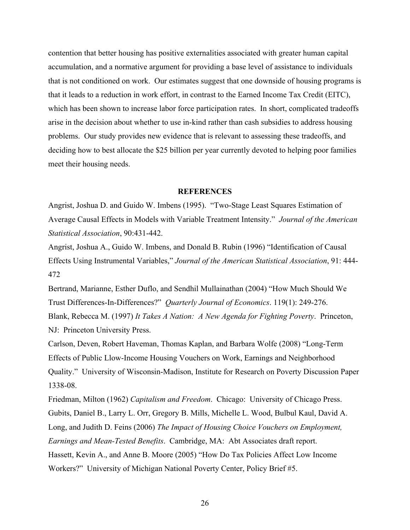contention that better housing has positive externalities associated with greater human capital accumulation, and a normative argument for providing a base level of assistance to individuals that is not conditioned on work. Our estimates suggest that one downside of housing programs is that it leads to a reduction in work effort, in contrast to the Earned Income Tax Credit (EITC), which has been shown to increase labor force participation rates. In short, complicated tradeoffs arise in the decision about whether to use in-kind rather than cash subsidies to address housing problems. Our study provides new evidence that is relevant to assessing these tradeoffs, and deciding how to best allocate the \$25 billion per year currently devoted to helping poor families meet their housing needs.

### **REFERENCES**

Angrist, Joshua D. and Guido W. Imbens (1995). "Two-Stage Least Squares Estimation of Average Causal Effects in Models with Variable Treatment Intensity." *Journal of the American Statistical Association*, 90:431-442.

Angrist, Joshua A., Guido W. Imbens, and Donald B. Rubin (1996) "Identification of Causal Effects Using Instrumental Variables," *Journal of the American Statistical Association*, 91: 444- 472

Bertrand, Marianne, Esther Duflo, and Sendhil Mullainathan (2004) "How Much Should We Trust Differences-In-Differences?" *Quarterly Journal of Economics*. 119(1): 249-276. Blank, Rebecca M. (1997) *It Takes A Nation: A New Agenda for Fighting Poverty*. Princeton, NJ: Princeton University Press.

Carlson, Deven, Robert Haveman, Thomas Kaplan, and Barbara Wolfe (2008) "Long-Term Effects of Public Llow-Income Housing Vouchers on Work, Earnings and Neighborhood Quality." University of Wisconsin-Madison, Institute for Research on Poverty Discussion Paper 1338-08.

Friedman, Milton (1962) *Capitalism and Freedom*. Chicago: University of Chicago Press. Gubits, Daniel B., Larry L. Orr, Gregory B. Mills, Michelle L. Wood, Bulbul Kaul, David A. Long, and Judith D. Feins (2006) *The Impact of Housing Choice Vouchers on Employment, Earnings and Mean-Tested Benefits*. Cambridge, MA: Abt Associates draft report. Hassett, Kevin A., and Anne B. Moore (2005) "How Do Tax Policies Affect Low Income Workers?" University of Michigan National Poverty Center, Policy Brief #5.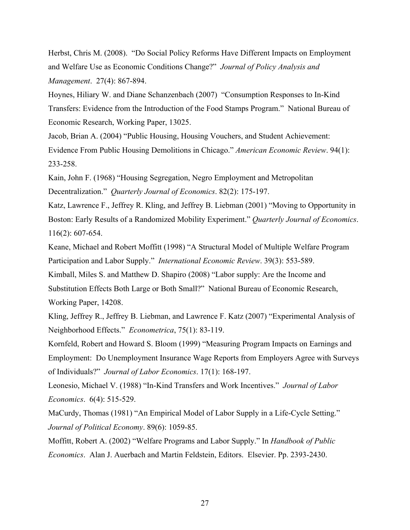Herbst, Chris M. (2008). "Do Social Policy Reforms Have Different Impacts on Employment and Welfare Use as Economic Conditions Change?" *Journal of Policy Analysis and Management*. 27(4): 867-894.

Hoynes, Hiliary W. and Diane Schanzenbach (2007) "Consumption Responses to In-Kind Transfers: Evidence from the Introduction of the Food Stamps Program." National Bureau of Economic Research, Working Paper, 13025.

Jacob, Brian A. (2004) "Public Housing, Housing Vouchers, and Student Achievement: Evidence From Public Housing Demolitions in Chicago." *American Economic Review*. 94(1): 233-258.

Kain, John F. (1968) "Housing Segregation, Negro Employment and Metropolitan Decentralization." *Quarterly Journal of Economics*. 82(2): 175-197.

Katz, Lawrence F., Jeffrey R. Kling, and Jeffrey B. Liebman (2001) "Moving to Opportunity in Boston: Early Results of a Randomized Mobility Experiment." *Quarterly Journal of Economics*. 116(2): 607-654.

Keane, Michael and Robert Moffitt (1998) "A Structural Model of Multiple Welfare Program Participation and Labor Supply." *International Economic Review*. 39(3): 553-589.

Kimball, Miles S. and Matthew D. Shapiro (2008) "Labor supply: Are the Income and Substitution Effects Both Large or Both Small?" National Bureau of Economic Research, Working Paper, 14208.

Kling, Jeffrey R., Jeffrey B. Liebman, and Lawrence F. Katz (2007) "Experimental Analysis of Neighborhood Effects." *Econometrica*, 75(1): 83-119.

Kornfeld, Robert and Howard S. Bloom (1999) "Measuring Program Impacts on Earnings and Employment: Do Unemployment Insurance Wage Reports from Employers Agree with Surveys of Individuals?" *Journal of Labor Economics*. 17(1): 168-197.

Leonesio, Michael V. (1988) "In-Kind Transfers and Work Incentives." *Journal of Labor Economics*. 6(4): 515-529.

MaCurdy, Thomas (1981) "An Empirical Model of Labor Supply in a Life-Cycle Setting." *Journal of Political Economy*. 89(6): 1059-85.

Moffitt, Robert A. (2002) "Welfare Programs and Labor Supply." In *Handbook of Public Economics*. Alan J. Auerbach and Martin Feldstein, Editors. Elsevier. Pp. 2393-2430.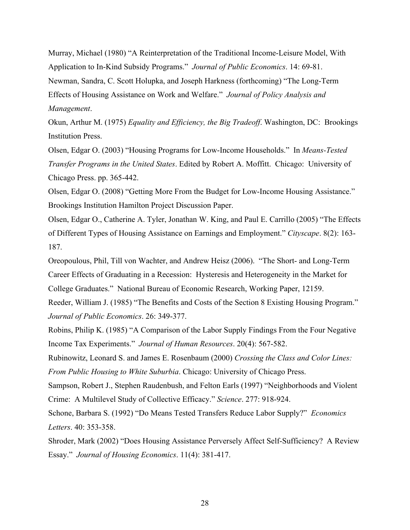Murray, Michael (1980) "A Reinterpretation of the Traditional Income-Leisure Model, With Application to In-Kind Subsidy Programs." *Journal of Public Economics*. 14: 69-81. Newman, Sandra, C. Scott Holupka, and Joseph Harkness (forthcoming) "The Long-Term Effects of Housing Assistance on Work and Welfare." *Journal of Policy Analysis and Management*.

Okun, Arthur M. (1975) *Equality and Efficiency, the Big Tradeoff*. Washington, DC: Brookings Institution Press.

Olsen, Edgar O. (2003) "Housing Programs for Low-Income Households." In *Means-Tested Transfer Programs in the United States*. Edited by Robert A. Moffitt. Chicago: University of Chicago Press. pp. 365-442.

Olsen, Edgar O. (2008) "Getting More From the Budget for Low-Income Housing Assistance." Brookings Institution Hamilton Project Discussion Paper.

Olsen, Edgar O., Catherine A. Tyler, Jonathan W. King, and Paul E. Carrillo (2005) "The Effects of Different Types of Housing Assistance on Earnings and Employment." *Cityscape*. 8(2): 163- 187.

Oreopoulous, Phil, Till von Wachter, and Andrew Heisz (2006). "The Short- and Long-Term Career Effects of Graduating in a Recession: Hysteresis and Heterogeneity in the Market for College Graduates." National Bureau of Economic Research, Working Paper, 12159.

Reeder, William J. (1985) "The Benefits and Costs of the Section 8 Existing Housing Program." *Journal of Public Economics*. 26: 349-377.

Robins, Philip K. (1985) "A Comparison of the Labor Supply Findings From the Four Negative Income Tax Experiments." *Journal of Human Resources*. 20(4): 567-582.

Rubinowitz, Leonard S. and James E. Rosenbaum (2000) *Crossing the Class and Color Lines: From Public Housing to White Suburbia*. Chicago: University of Chicago Press.

Sampson, Robert J., Stephen Raudenbush, and Felton Earls (1997) "Neighborhoods and Violent Crime: A Multilevel Study of Collective Efficacy." *Science*. 277: 918-924.

Schone, Barbara S. (1992) "Do Means Tested Transfers Reduce Labor Supply?" *Economics Letters*. 40: 353-358.

Shroder, Mark (2002) "Does Housing Assistance Perversely Affect Self-Sufficiency? A Review Essay." *Journal of Housing Economics*. 11(4): 381-417.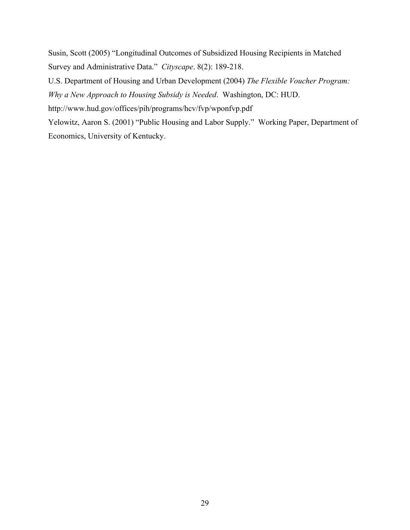Susin, Scott (2005) "Longitudinal Outcomes of Subsidized Housing Recipients in Matched Survey and Administrative Data." *Cityscape*. 8(2): 189-218.

U.S. Department of Housing and Urban Development (2004) *The Flexible Voucher Program:* 

*Why a New Approach to Housing Subsidy is Needed*. Washington, DC: HUD.

http://www.hud.gov/offices/pih/programs/hcv/fvp/wponfvp.pdf

Yelowitz, Aaron S. (2001) "Public Housing and Labor Supply." Working Paper, Department of Economics, University of Kentucky.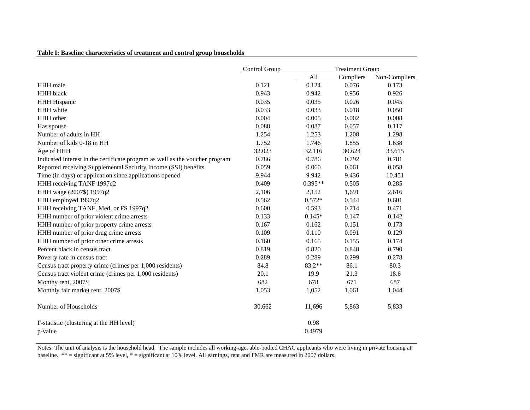|  |  |  |  |  |  | Table I: Baseline characteristics of treatment and control group households |
|--|--|--|--|--|--|-----------------------------------------------------------------------------|
|  |  |  |  |  |  |                                                                             |

|                                                                              | Control Group |           | <b>Treatment Group</b> |               |
|------------------------------------------------------------------------------|---------------|-----------|------------------------|---------------|
|                                                                              |               | All       | Compliers              | Non-Compliers |
| HHH male                                                                     | 0.121         | 0.124     | 0.076                  | 0.173         |
| <b>HHH</b> black                                                             | 0.943         | 0.942     | 0.956                  | 0.926         |
| <b>HHH Hispanic</b>                                                          | 0.035         | 0.035     | 0.026                  | 0.045         |
| HHH white                                                                    | 0.033         | 0.033     | 0.018                  | 0.050         |
| HHH other                                                                    | 0.004         | 0.005     | 0.002                  | 0.008         |
| Has spouse                                                                   | 0.088         | 0.087     | 0.057                  | 0.117         |
| Number of adults in HH                                                       | 1.254         | 1.253     | 1.208                  | 1.298         |
| Number of kids 0-18 in HH                                                    | 1.752         | 1.746     | 1.855                  | 1.638         |
| Age of HHH                                                                   | 32.023        | 32.116    | 30.624                 | 33.615        |
| Indicated interest in the certificate program as well as the voucher program | 0.786         | 0.786     | 0.792                  | 0.781         |
| Reported receiving Supplemental Security Income (SSI) benefits               | 0.059         | 0.060     | 0.061                  | 0.058         |
| Time (in days) of application since applications opened                      | 9.944         | 9.942     | 9.436                  | 10.451        |
| HHH receiving TANF 1997q2                                                    | 0.409         | $0.395**$ | 0.505                  | 0.285         |
| HHH wage (2007\$) 1997q2                                                     | 2,106         | 2,152     | 1,691                  | 2,616         |
| HHH employed 1997q2                                                          | 0.562         | $0.572*$  | 0.544                  | 0.601         |
| HHH receiving TANF, Med, or FS 1997q2                                        | 0.600         | 0.593     | 0.714                  | 0.471         |
| HHH number of prior violent crime arrests                                    | 0.133         | $0.145*$  | 0.147                  | 0.142         |
| HHH number of prior property crime arrests                                   | 0.167         | 0.162     | 0.151                  | 0.173         |
| HHH number of prior drug crime arrests                                       | 0.109         | 0.110     | 0.091                  | 0.129         |
| HHH number of prior other crime arrests                                      | 0.160         | 0.165     | 0.155                  | 0.174         |
| Percent black in census tract                                                | 0.819         | 0.820     | 0.848                  | 0.790         |
| Poverty rate in census tract                                                 | 0.289         | 0.289     | 0.299                  | 0.278         |
| Census tract property crime (crimes per 1,000 residents)                     | 84.8          | 83.2**    | 86.1                   | 80.3          |
| Census tract violent crime (crimes per 1,000 residents)                      | 20.1          | 19.9      | 21.3                   | 18.6          |
| Monthy rent, 2007\$                                                          | 682           | 678       | 671                    | 687           |
| Monthly fair market rent, 2007\$                                             | 1,053         | 1,052     | 1,061                  | 1,044         |
| Number of Households                                                         | 30,662        | 11,696    | 5,863                  | 5,833         |
| F-statistic (clustering at the HH level)                                     |               | 0.98      |                        |               |
| p-value                                                                      |               | 0.4979    |                        |               |

Notes: The unit of analysis is the household head. The sample includes all working-age, able-bodied CHAC applicants who were living in private housing at baseline. \*\* = significant at 5% level, \* = significant at 10% level. All earnings, rent and FMR are measured in 2007 dollars.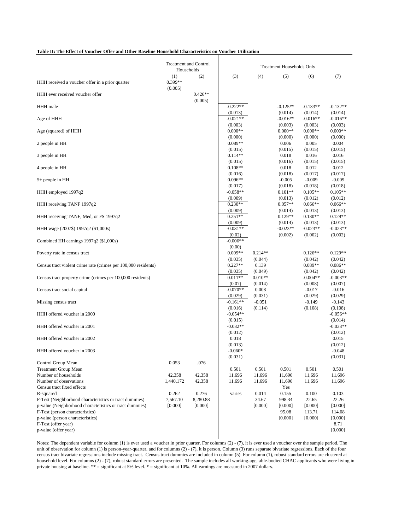#### **Table II: The Effect of Voucher Offer and Other Baseline Household Characteristics on Voucher Utilization**

|                                                                | <b>Treatment and Control</b><br>Households |                      |                       |                      | <b>Treatment Households Only</b> |                       |                       |
|----------------------------------------------------------------|--------------------------------------------|----------------------|-----------------------|----------------------|----------------------------------|-----------------------|-----------------------|
|                                                                | (1)                                        | (2)                  | (3)                   | (4)                  | (5)                              | (6)                   | (7)                   |
| HHH received a voucher offer in a prior quarter                | $0.399**$<br>(0.005)                       |                      |                       |                      |                                  |                       |                       |
| HHH ever received voucher offer                                |                                            | $0.426**$<br>(0.005) |                       |                      |                                  |                       |                       |
| HHH male                                                       |                                            |                      | $-0.222**$<br>(0.013) |                      | $-0.125**$<br>(0.014)            | $-0.133**$<br>(0.014) | $-0.132**$<br>(0.014) |
| Age of HHH                                                     |                                            |                      | $-0.021**$<br>(0.003) |                      | $-0.016**$                       | $-0.016**$<br>(0.003) | $-0.016**$<br>(0.003) |
| Age (squared) of HHH                                           |                                            |                      | $0.000**$             |                      | (0.003)<br>$0.000**$             | $0.000**$             | $0.000**$             |
| 2 people in HH                                                 |                                            |                      | (0.000)<br>$0.089**$  |                      | (0.000)<br>0.006                 | (0.000)<br>0.005      | (0.000)<br>0.004      |
| 3 people in HH                                                 |                                            |                      | (0.015)<br>$0.114**$  |                      | (0.015)<br>0.018                 | (0.015)<br>0.016      | (0.015)<br>0.016      |
| 4 people in HH                                                 |                                            |                      | (0.015)<br>$0.108**$  |                      | (0.016)<br>0.018                 | (0.015)<br>0.012      | (0.015)<br>0.012      |
| 5+ people in HH                                                |                                            |                      | (0.016)<br>$0.096**$  |                      | (0.018)<br>$-0.005$              | (0.017)<br>$-0.009$   | (0.017)<br>$-0.009$   |
| HHH employed 1997q2                                            |                                            |                      | (0.017)<br>$-0.058**$ |                      | (0.018)<br>$0.101**$             | (0.018)<br>$0.105**$  | (0.018)<br>$0.105**$  |
| HHH receiving TANF 1997q2                                      |                                            |                      | (0.009)<br>$0.230**$  |                      | (0.013)<br>$0.057**$             | (0.012)<br>$0.066**$  | (0.012)<br>$0.066**$  |
| HHH receiving TANF, Med, or FS 1997q2                          |                                            |                      | (0.009)<br>$0.251**$  |                      | (0.014)<br>$0.129**$             | (0.013)<br>$0.130**$  | (0.013)<br>$0.129**$  |
| HHH wage (2007\$) 1997q2 (\$1,000s)                            |                                            |                      | (0.009)<br>$-0.031**$ |                      | (0.014)<br>$-0.023**$            | (0.013)<br>$-0.023**$ | (0.013)<br>$-0.023**$ |
| Combined HH earnings 1997q2 (\$1,000s)                         |                                            |                      | (0.02)<br>$-0.006**$  |                      | (0.002)                          | (0.002)               | (0.002)               |
| Poverty rate in census tract                                   |                                            |                      | (0.00)<br>$0.009**$   | $0.214**$            |                                  | $0.126**$             | $0.129**$             |
| Census tract violent crime rate (crimes per 100,000 residents) |                                            |                      | (0.035)<br>$0.227**$  | (0.044)<br>0.139     |                                  | (0.042)<br>$0.089**$  | (0.042)<br>$0.086**$  |
| Census tract property crime (crimes per 100,000 residents)     |                                            |                      | (0.035)<br>$0.011**$  | (0.049)<br>$0.010**$ |                                  | (0.042)<br>$-0.004**$ | (0.042)<br>$-0.003**$ |
| Census tract social capital                                    |                                            |                      | (0.07)<br>$-0.070**$  | (0.014)<br>0.008     |                                  | (0.008)<br>$-0.017$   | (0.007)<br>$-0.016$   |
| Missing census tract                                           |                                            |                      | (0.029)<br>$-0.161**$ | (0.031)<br>$-0.051$  |                                  | (0.029)<br>$-0.149$   | (0.029)<br>$-0.143$   |
| HHH offered voucher in 2000                                    |                                            |                      | (0.016)<br>$-0.054**$ | (0.114)              |                                  | (0.108)               | (0.108)<br>$-0.056**$ |
| HHH offered voucher in 2001                                    |                                            |                      | (0.015)<br>$-0.032**$ |                      |                                  |                       | (0.014)<br>$-0.033**$ |
| HHH offered voucher in 2002                                    |                                            |                      | (0.012)<br>0.018      |                      |                                  |                       | (0.012)<br>0.015      |
| HHH offered voucher in 2003                                    |                                            |                      | (0.013)<br>$-0.060*$  |                      |                                  |                       | (0.012)<br>$-0.048$   |
| Control Group Mean                                             | 0.053                                      | .076                 | (0.031)               |                      |                                  |                       | (0.031)               |
| <b>Treatment Group Mean</b>                                    |                                            |                      | 0.501                 | 0.501                | 0.501                            | 0.501                 | 0.501                 |
| Number of households                                           | 42,358                                     | 42,358               | 11,696                | 11,696               | 11,696                           | 11,696                | 11,696                |
| Number of observations<br>Census tract fixed effects           | 1,440,172                                  | 42,358               | 11,696                | 11,696               | 11,696<br>Yes                    | 11,696                | 11,696                |
| R-squared                                                      | 0.262                                      | 0.276                | varies                | 0.014                | 0.155                            | 0.100                 | 0.103                 |
| F-Test (Neighborhood characteristics or tract dummies)         | 7,567.10                                   | 8,280.88             |                       | 34.67                | 998.34                           | 22.65                 | 22.26                 |
| p-value (Neighborhood characteristics or tract dummies)        | [0.000]                                    | [0.000]              |                       | [0.000]              | [0.000]                          | [0.000]               | [0.000]               |
| F-Test (person characteristics)                                |                                            |                      |                       |                      | 95.08                            | 113.71                | 114.08                |
| p-value (person characteristics)                               |                                            |                      |                       |                      | [0.000]                          | [0.000]               | [0.000]               |
| F-Test (offer year)                                            |                                            |                      |                       |                      |                                  |                       | 8.71                  |
| p-value (offer year)                                           |                                            |                      |                       |                      |                                  |                       | [0.000]               |

Notes: The dependent variable for column (1) is ever used a voucher in prior quarter. For columns (2) - (7), it is ever used a voucher over the sample period. The unit of observation for column (1) is person-year-quarter, and for columns (2) - (7), it is person. Column (3) runs separate bivariate regressions. Each of the four census tract bivariate regressions include missing tract. Census tract dummies are included in column (5). For column (1), robust standard errors are clustered at household level. For columns (2) - (7), robust standard errors are presented. The sample includes all working-age, able-bodied CHAC applicants who were living in private housing at baseline. \*\* = significant at 5% level. \* = significant at 10%. All earnings are measured in 2007 dollars.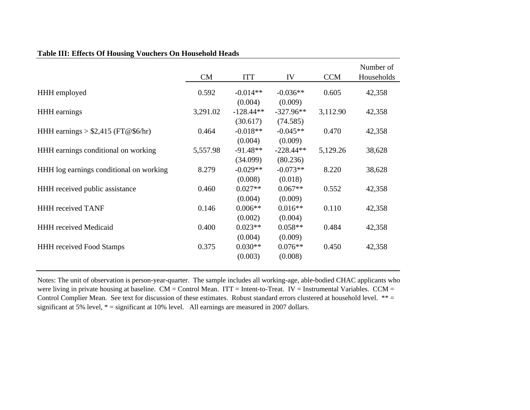|                                         | CM       | <b>ITT</b>             | IV                     | <b>CCM</b> | Number of<br>Households |
|-----------------------------------------|----------|------------------------|------------------------|------------|-------------------------|
| HHH employed                            | 0.592    | $-0.014**$             | $-0.036**$             | 0.605      | 42,358                  |
| <b>HHH</b> earnings                     | 3,291.02 | (0.004)<br>$-128.44**$ | (0.009)<br>$-327.96**$ | 3,112.90   | 42,358                  |
| HHH earnings $> $2,415$ (FT@\$6/hr)     | 0.464    | (30.617)<br>$-0.018**$ | (74.585)<br>$-0.045**$ | 0.470      | 42,358                  |
| HHH earnings conditional on working     | 5,557.98 | (0.004)<br>$-91.48**$  | (0.009)<br>$-228.44**$ | 5,129.26   | 38,628                  |
| HHH log earnings conditional on working | 8.279    | (34.099)<br>$-0.029**$ | (80.236)<br>$-0.073**$ | 8.220      | 38,628                  |
| HHH received public assistance          | 0.460    | (0.008)<br>$0.027**$   | (0.018)<br>$0.067**$   | 0.552      | 42,358                  |
|                                         |          | (0.004)                | (0.009)                |            |                         |
| <b>HHH</b> received TANF                | 0.146    | $0.006**$<br>(0.002)   | $0.016**$<br>(0.004)   | 0.110      | 42,358                  |
| <b>HHH</b> received Medicaid            | 0.400    | $0.023**$<br>(0.004)   | $0.058**$<br>(0.009)   | 0.484      | 42,358                  |
| <b>HHH</b> received Food Stamps         | 0.375    | $0.030**$<br>(0.003)   | $0.076**$<br>(0.008)   | 0.450      | 42,358                  |
|                                         |          |                        |                        |            |                         |

# **Table III: Effects Of Housing Vouchers On Household Heads**

Notes: The unit of observation is person-year-quarter. The sample includes all working-age, able-bodied CHAC applicants who were living in private housing at baseline.  $CM =$  Control Mean. ITT = Intent-to-Treat. IV = Instrumental Variables.  $CCM =$ Control Complier Mean. See text for discussion of these estimates. Robust standard errors clustered at household level. \*\* = significant at 5% level,  $* =$  significant at 10% level. All earnings are measured in 2007 dollars.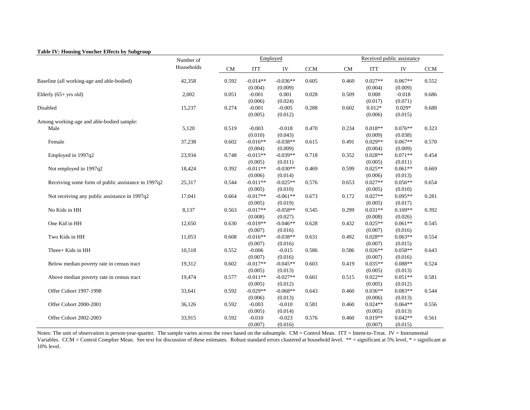#### **Table IV: Housing Voucher Effects by Subgroup**

|                                                    | Number of  | Employed |                       |                       |            | Received public assistance |                      |                      |            |
|----------------------------------------------------|------------|----------|-----------------------|-----------------------|------------|----------------------------|----------------------|----------------------|------------|
|                                                    | Households | CM       | <b>ITT</b>            | IV                    | <b>CCM</b> | <b>CM</b>                  | <b>ITT</b>           | IV                   | <b>CCM</b> |
| Baseline (all working-age and able-bodied)         | 42,358     | 0.592    | $-0.014**$<br>(0.004) | $-0.036**$<br>(0.009) | 0.605      | 0.460                      | $0.027**$<br>(0.004) | $0.067**$<br>(0.009) | 0.552      |
| Elderly $(65+$ yrs old)                            | 2,002      | 0.051    | $-0.001$              | 0.001                 | 0.028      | 0.509                      | 0.000                | $-0.018$             | 0.686      |
|                                                    |            |          | (0.006)               | (0.024)               |            |                            | (0.017)              | (0.071)              |            |
| Disabled                                           | 15,237     | 0.274    | $-0.001$              | $-0.005$              | 0.288      | 0.602                      | $0.012*$             | $0.029*$             | 0.688      |
|                                                    |            |          | (0.005)               | (0.012)               |            |                            | (0.006)              | (0.015)              |            |
| Among working-age and able-bodied sample:          |            |          |                       |                       |            |                            |                      |                      |            |
| Male                                               | 5,120      | 0.519    | $-0.003$              | $-0.018$              | 0.470      | 0.234                      | $0.018**$            | $0.076**$            | 0.323      |
|                                                    |            |          | (0.010)               | (0.043)               |            |                            | (0.009)              | (0.038)              |            |
| Female                                             | 37,238     | 0.602    | $-0.016**$            | $-0.038**$            | 0.615      | 0.491                      | $0.029**$            | $0.067**$            | 0.570      |
|                                                    |            |          | (0.004)               | (0.009)               |            |                            | (0.004)              | (0.009)              |            |
| Employed in 1997q2                                 | 23,934     | 0.748    | $-0.015**$            | $-0.039**$            | 0.718      | 0.352                      | $0.028**$            | $0.071**$            | 0.454      |
|                                                    |            |          | (0.005)               | (0.011)               |            |                            | (0.005)              | (0.011)              |            |
| Not employed in 1997q2                             | 18,424     | 0.392    | $-0.011**$            | $-0.030**$            | 0.469      | 0.599                      | $0.025**$            | $0.061**$            | 0.669      |
|                                                    |            |          | (0.006)               | (0.014)               |            |                            | (0.006)              | (0.013)              |            |
| Receiving some form of public assistance in 1997q2 | 25,317     | 0.544    | $-0.011**$            | $-0.025**$            | 0.576      | 0.653                      | $0.027**$            | $0.056**$            | 0.654      |
|                                                    |            |          | (0.005)               | (0.010)               |            |                            | (0.005)              | (0.010)              |            |
| Not receiving any public assistance in 1997q2      | 17,041     | 0.664    | $-0.017**$            | $-0.061**$            | 0.673      | 0.172                      | $0.027**$            | $0.095**$            | 0.281      |
|                                                    |            |          | (0.005)               | (0.019)               |            |                            | (0.005)              | (0.017)              |            |
| No Kids in HH                                      | 8,137      | 0.563    | $-0.017**$            | $-0.058**$            | 0.545      | 0.299                      | $0.031**$            | $0.109**$            | 0.392      |
|                                                    |            |          | (0.008)               | (0.027)               |            |                            | (0.008)              | (0.026)              |            |
| One Kid in HH                                      | 12,650     | 0.630    | $-0.019**$            | $-0.046**$            | 0.628      | 0.432                      | $0.025**$            | $0.061**$            | 0.545      |
|                                                    |            |          | (0.007)               | (0.016)               |            |                            | (0.007)              | (0.016)              |            |
| Two Kids in HH                                     | 11,053     | 0.608    | $-0.016**$            | $-0.038**$            | 0.631      | 0.492                      | $0.028**$            | $0.063**$            | 0.554      |
|                                                    |            |          | (0.007)               | (0.016)               |            |                            | (0.007)              | (0.015)              |            |
| Three+ Kids in HH                                  | 10,518     | 0.552    | $-0.006$              | $-0.015$              | 0.586      | 0.586                      | $0.026**$            | $0.058**$            | 0.643      |
|                                                    |            |          | (0.007)               | (0.016)               |            |                            | (0.007)<br>$0.035**$ | (0.016)              |            |
| Below median poverty rate in census tract          | 19,312     | 0.602    | $-0.017**$            | $-0.045**$            | 0.603      | 0.419                      |                      | $0.088**$            | 0.524      |
|                                                    |            | 0.577    | (0.005)<br>$-0.011**$ | (0.013)<br>$-0.027**$ |            | 0.515                      | (0.005)<br>$0.022**$ | (0.013)<br>$0.051**$ |            |
| Above median poverty rate in census tract          | 19,474     |          |                       |                       | 0.601      |                            |                      |                      | 0.581      |
|                                                    |            |          | (0.005)               | (0.012)<br>$-0.068**$ |            |                            | (0.005)<br>$0.036**$ | (0.012)<br>$0.083**$ |            |
| Offer Cohort 1997-1998                             | 33,641     | 0.592    | $-0.029**$            |                       | 0.643      | 0.460                      |                      |                      | 0.544      |
|                                                    |            |          | (0.006)               | (0.013)<br>$-0.010$   |            |                            | (0.006)<br>$0.024**$ | (0.013)<br>$0.064**$ |            |
| Offer Cohort 2000-2001                             | 36,126     | 0.592    | $-0.003$              |                       | 0.581      | 0.460                      |                      |                      | 0.556      |
| Offer Cohort 2002-2003                             | 33,915     | 0.592    | (0.005)<br>$-0.010$   | (0.014)<br>$-0.023$   | 0.576      | 0.460                      | (0.005)<br>$0.019**$ | (0.013)<br>$0.042**$ | 0.561      |
|                                                    |            |          |                       | (0.016)               |            |                            | (0.007)              | (0.015)              |            |
|                                                    |            |          | (0.007)               |                       |            |                            |                      |                      |            |

Notes: The unit of observation is person-year-quarter. The sample varies across the rows based on the subsample. CM = Control Mean. ITT = Intent-to-Treat. IV = Instrumental Variables. CCM = Control Complier Mean. See text for discussion of these estimates. Robust standard errors clustered at household level. \*\* = significant at 5% level, \* = significant at 10% level.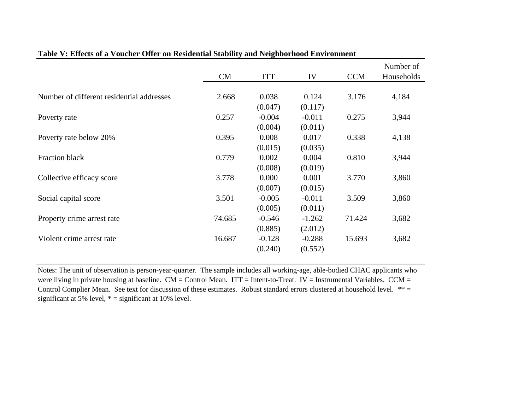|                                           |        |            |          |            | Number of  |
|-------------------------------------------|--------|------------|----------|------------|------------|
|                                           | CM     | <b>ITT</b> | IV       | <b>CCM</b> | Households |
|                                           |        |            |          |            |            |
| Number of different residential addresses | 2.668  | 0.038      | 0.124    | 3.176      | 4,184      |
|                                           |        | (0.047)    | (0.117)  |            |            |
| Poverty rate                              | 0.257  | $-0.004$   | $-0.011$ | 0.275      | 3,944      |
|                                           |        | (0.004)    | (0.011)  |            |            |
| Poverty rate below 20%                    | 0.395  | 0.008      | 0.017    | 0.338      | 4,138      |
|                                           |        | (0.015)    | (0.035)  |            |            |
| <b>Fraction black</b>                     | 0.779  | 0.002      | 0.004    | 0.810      | 3,944      |
|                                           |        | (0.008)    | (0.019)  |            |            |
| Collective efficacy score                 | 3.778  | 0.000      | 0.001    | 3.770      | 3,860      |
|                                           |        | (0.007)    | (0.015)  |            |            |
| Social capital score                      | 3.501  | $-0.005$   | $-0.011$ | 3.509      | 3,860      |
|                                           |        | (0.005)    | (0.011)  |            |            |
| Property crime arrest rate                | 74.685 | $-0.546$   | $-1.262$ | 71.424     | 3,682      |
|                                           |        | (0.885)    | (2.012)  |            |            |
| Violent crime arrest rate                 | 16.687 | $-0.128$   | $-0.288$ | 15.693     | 3,682      |
|                                           |        | (0.240)    | (0.552)  |            |            |
|                                           |        |            |          |            |            |

# **Table V: Effects of a Voucher Offer on Residential Stability and Neighborhood Environment**

Notes: The unit of observation is person-year-quarter. The sample includes all working-age, able-bodied CHAC applicants who were living in private housing at baseline. CM = Control Mean. ITT = Intent-to-Treat. IV = Instrumental Variables. CCM = Control Complier Mean. See text for discussion of these estimates. Robust standard errors clustered at household level. \*\*= significant at 5% level,  $* =$  significant at 10% level.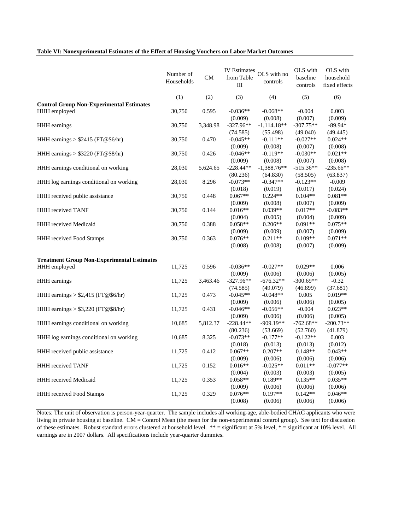#### **Table VI: Nonexperimental Estimates of the Effect of Housing Vouchers on Labor Market Outcomes**

|                                                                 | Number of<br>Households | ${\rm CM}$ | from Table<br>III       | IV Estimates OLS with no<br>controls | OLS with<br>baseline<br>controls | OLS with<br>household<br>fixed effects |
|-----------------------------------------------------------------|-------------------------|------------|-------------------------|--------------------------------------|----------------------------------|----------------------------------------|
|                                                                 | (1)                     | (2)        | (3)                     | (4)                                  | (5)                              | (6)                                    |
| <b>Control Group Non-Experimental Estimates</b><br>HHH employed | 30,750                  | 0.595      | $-0.036**$<br>(0.009)   | $-0.068**$<br>(0.008)                | $-0.004$<br>(0.007)              | 0.003<br>(0.009)                       |
| HHH earnings                                                    | 30,750                  | 3,348.98   | $-327.96**$<br>(74.585) | $-1,114.18**$<br>(55.498)            | $-307.75**$<br>(49.040)          | $-89.94*$<br>(49.445)                  |
| HHH earnings $> $2415$ (FT@\$6/hr)                              | 30,750                  | 0.470      | $-0.045**$<br>(0.009)   | $-0.111**$<br>(0.008)                | $-0.027**$<br>(0.007)            | $0.024**$<br>(0.008)                   |
| HHH earnings > \$3220 (FT@\$8/hr)                               | 30,750                  | 0.426      | $-0.046**$<br>(0.009)   | $-0.119**$<br>(0.008)                | $-0.030**$<br>(0.007)            | $0.021**$<br>(0.008)                   |
| HHH earnings conditional on working                             | 28,030                  | 5,624.65   | $-228.44**$<br>(80.236) | $-1,388.76**$<br>(64.830)            | $-515.36**$<br>(58.505)          | $-235.66**$<br>(63.837)                |
| HHH log earnings conditional on working                         | 28,030                  | 8.296      | $-0.073**$<br>(0.018)   | $-0.347**$<br>(0.019)                | $-0.123**$<br>(0.017)            | $-0.009$<br>(0.024)                    |
| HHH received public assistance                                  | 30,750                  | 0.448      | $0.067**$<br>(0.009)    | $0.224**$<br>(0.008)                 | $0.104**$<br>(0.007)             | $0.081**$<br>(0.009)                   |
| HHH received TANF                                               | 30,750                  | 0.144      | $0.016**$<br>(0.004)    | $0.039**$<br>(0.005)                 | $0.017**$<br>(0.004)             | $-0.083**$<br>(0.009)                  |
| <b>HHH</b> received Medicaid                                    | 30,750                  | 0.388      | $0.058**$<br>(0.009)    | $0.206**$<br>(0.009)                 | $0.091**$<br>(0.007)             | $0.075**$<br>(0.009)                   |
| <b>HHH</b> received Food Stamps                                 | 30,750                  | 0.363      | $0.076**$<br>(0.008)    | $0.211**$<br>(0.008)                 | $0.109**$<br>(0.007)             | $0.071**$<br>(0.009)                   |
| <b>Treatment Group Non-Experimental Estimates</b>               |                         |            |                         |                                      |                                  |                                        |
| HHH employed                                                    | 11,725                  | 0.596      | $-0.036**$<br>(0.009)   | $-0.027**$<br>(0.006)                | $0.029**$<br>(0.006)             | 0.006<br>(0.005)                       |
| HHH earnings                                                    | 11,725                  | 3,463.46   | $-327.96**$<br>(74.585) | $-676.32**$<br>(49.079)              | $-300.69**$<br>(46.899)          | $-0.32$<br>(37.681)                    |
| HHH earnings $> $2,415$ (FT@\$6/hr)                             | 11,725                  | 0.473      | $-0.045**$<br>(0.009)   | $-0.048**$<br>(0.006)                | 0.005<br>(0.006)                 | $0.019**$<br>(0.005)                   |
| HHH earnings > \$3,220 (FT@\$8/hr)                              | 11,725                  | 0.431      | $-0.046**$<br>(0.009)   | $-0.056**$<br>(0.006)                | $-0.004$<br>(0.006)              | $0.023**$<br>(0.005)                   |
| HHH earnings conditional on working                             | 10,685                  | 5,812.37   | $-228.44**$<br>(80.236) | $-909.19**$<br>(53.669)              | $-762.68**$<br>(52.760)          | $-200.73**$<br>(41.879)                |
| HHH log earnings conditional on working                         | 10,685                  | 8.325      | $-0.073**$<br>(0.018)   | $-0.177**$<br>(0.013)                | $-0.122**$<br>(0.013)            | 0.003<br>(0.012)                       |
| HHH received public assistance                                  | 11,725                  | 0.412      | $0.067**$<br>(0.009)    | $0.207**$<br>(0.006)                 | $0.148**$<br>(0.006)             | $0.043**$<br>(0.006)                   |
| HHH received TANF                                               | 11,725                  | 0.152      | $0.016**$<br>(0.004)    | $-0.025**$<br>(0.003)                | $0.011**$<br>(0.003)             | $-0.077**$<br>(0.005)                  |
| HHH received Medicaid                                           | 11,725                  | 0.353      | $0.058**$<br>(0.009)    | $0.189**$<br>(0.006)                 | $0.135**$<br>(0.006)             | $0.035**$<br>(0.006)                   |
| HHH received Food Stamps                                        | 11,725                  | 0.329      | $0.076**$<br>(0.008)    | $0.197**$<br>(0.006)                 | $0.142**$<br>(0.006)             | $0.046**$<br>(0.006)                   |

Notes: The unit of observation is person-year-quarter. The sample includes all working-age, able-bodied CHAC applicants who were living in private housing at baseline. CM = Control Mean (the mean for the non-experimental control group). See text for discussion of these estimates. Robust standard errors clustered at household level. \*\* = significant at 5% level, \* = significant at 10% level. All earnings are in 2007 dollars. All specifications include year-quarter dummies.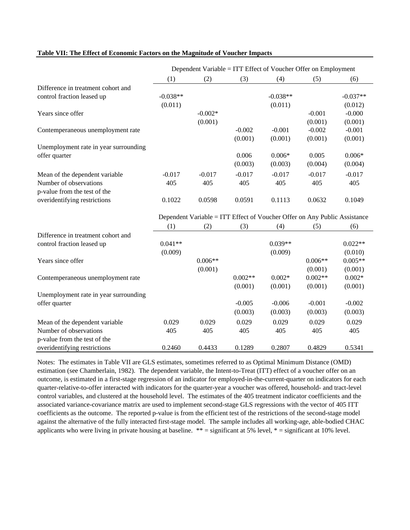#### **Table VII: The Effect of Economic Factors on the Magnitude of Voucher Impacts**

|                                       |            | Dependent Variable = ITT Effect of Voucher Offer on Employment            |           |            |           |            |
|---------------------------------------|------------|---------------------------------------------------------------------------|-----------|------------|-----------|------------|
|                                       | (1)        | (2)                                                                       | (3)       | (4)        | (5)       | (6)        |
| Difference in treatment cohort and    |            |                                                                           |           |            |           |            |
| control fraction leased up            | $-0.038**$ |                                                                           |           | $-0.038**$ |           | $-0.037**$ |
|                                       | (0.011)    |                                                                           |           | (0.011)    |           | (0.012)    |
| Years since offer                     |            | $-0.002*$                                                                 |           |            | $-0.001$  | $-0.000$   |
|                                       |            | (0.001)                                                                   |           |            | (0.001)   | (0.001)    |
| Contemperaneous unemployment rate     |            |                                                                           | $-0.002$  | $-0.001$   | $-0.002$  | $-0.001$   |
|                                       |            |                                                                           | (0.001)   | (0.001)    | (0.001)   | (0.001)    |
| Unemployment rate in year surrounding |            |                                                                           |           |            |           |            |
| offer quarter                         |            |                                                                           | 0.006     | $0.006*$   | 0.005     | $0.006*$   |
|                                       |            |                                                                           | (0.003)   | (0.003)    | (0.004)   | (0.004)    |
| Mean of the dependent variable        | $-0.017$   | $-0.017$                                                                  | $-0.017$  | $-0.017$   | $-0.017$  | $-0.017$   |
| Number of observations                | 405        | 405                                                                       | 405       | 405        | 405       | 405        |
| p-value from the test of the          |            |                                                                           |           |            |           |            |
| overidentifying restrictions          | 0.1022     | 0.0598                                                                    | 0.0591    | 0.1113     | 0.0632    | 0.1049     |
|                                       |            | Dependent Variable = ITT Effect of Voucher Offer on Any Public Assistance |           |            |           |            |
|                                       | (1)        | (2)                                                                       | (3)       | (4)        | (5)       | (6)        |
| Difference in treatment cohort and    |            |                                                                           |           |            |           |            |
| control fraction leased up            | $0.041**$  |                                                                           |           | $0.039**$  |           | $0.022**$  |
|                                       | (0.009)    |                                                                           |           | (0.009)    |           | (0.010)    |
| Years since offer                     |            | $0.006**$                                                                 |           |            | $0.006**$ | $0.005**$  |
|                                       |            | (0.001)                                                                   |           |            | (0.001)   | (0.001)    |
| Contemperaneous unemployment rate     |            |                                                                           | $0.002**$ | $0.002*$   | $0.002**$ | $0.002*$   |
|                                       |            |                                                                           | (0.001)   | (0.001)    | (0.001)   | (0.001)    |
| Unemployment rate in year surrounding |            |                                                                           |           |            |           |            |
| offer quarter                         |            |                                                                           | $-0.005$  | $-0.006$   | $-0.001$  | $-0.002$   |
|                                       |            |                                                                           | (0.003)   | (0.003)    | (0.003)   | (0.003)    |
| Mean of the dependent variable        | 0.029      | 0.029                                                                     | 0.029     | 0.029      | 0.029     | 0.029      |
| Number of observations                | 405        | 405                                                                       | 405       | 405        | 405       | 405        |
| p-value from the test of the          |            |                                                                           |           |            |           |            |
| overidentifying restrictions          | 0.2460     | 0.4433                                                                    | 0.1289    | 0.2807     | 0.4829    | 0.5341     |

Notes: The estimates in Table VII are GLS estimates, sometimes referred to as Optimal Minimum Distance (OMD) estimation (see Chamberlain, 1982). The dependent variable, the Intent-to-Treat (ITT) effect of a voucher offer on an outcome, is estimated in a first-stage regression of an indicator for employed-in-the-current-quarter on indicators for each quarter-relative-to-offer interacted with indicators for the quarter-year a voucher was offered, household- and tract-level control variables, and clustered at the household level. The estimates of the 405 treatment indicator coefficients and the associated variance-covariance matrix are used to implement second-stage GLS regressions with the vector of 405 ITT coefficients as the outcome. The reported p-value is from the efficient test of the restrictions of the second-stage model against the alternative of the fully interacted first-stage model. The sample includes all working-age, able-bodied CHAC applicants who were living in private housing at baseline. \*\* = significant at 5% level, \* = significant at 10% level.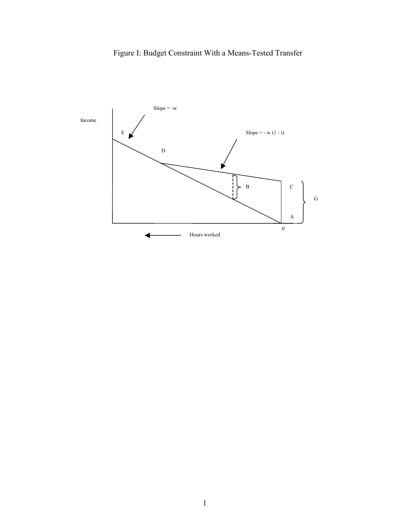

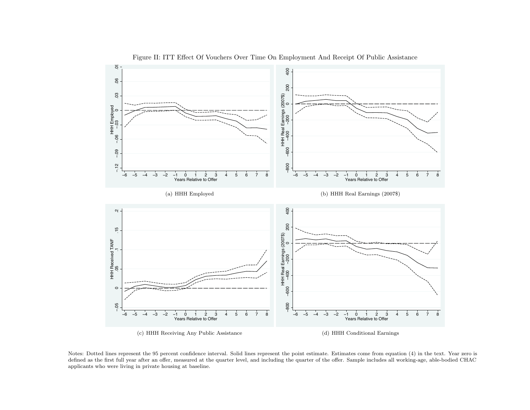

Figure II: ITT Effect Of Vouchers Over Time On Employment And Receipt Of Public Assistance

Notes: Dotted lines represent the <sup>95</sup> percent confidence interval. Solid lines represent the point estimate. Estimates come from equation (4) in the text. Year zero is defined as the first full year after an offer, measured at the quarter level, and including the quarter of the offer. Sample includes all working-age, able-bodied CHACapplicants who were living in private housing at baseline.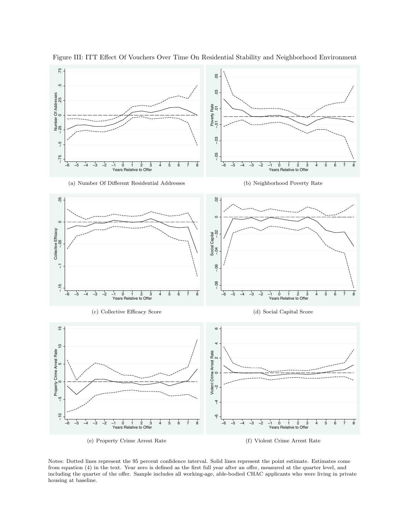

Figure III: ITT Effect Of Vouchers Over Time On Residential Stability and Neighborhood Environment

Notes: Dotted lines represent the 95 percent confidence interval. Solid lines represent the point estimate. Estimates come from equation (4) in the text. Year zero is defined as the first full year after an offer, measured at the quarter level, and including the quarter of the offer. Sample includes all working-age, able-bodied CHAC applicants who were living in private housing at baseline.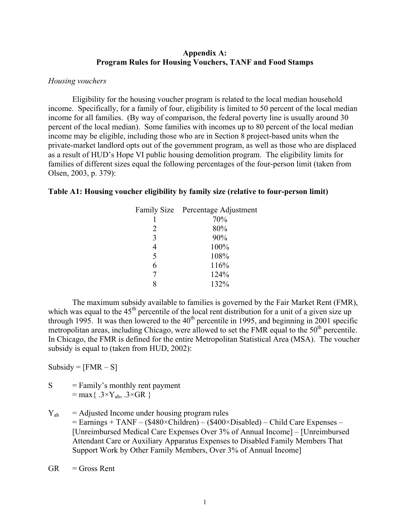# **Appendix A: Program Rules for Housing Vouchers, TANF and Food Stamps**

### *Housing vouchers*

Eligibility for the housing voucher program is related to the local median household income. Specifically, for a family of four, eligibility is limited to 50 percent of the local median income for all families. (By way of comparison, the federal poverty line is usually around 30 percent of the local median). Some families with incomes up to 80 percent of the local median income may be eligible, including those who are in Section 8 project-based units when the private-market landlord opts out of the government program, as well as those who are displaced as a result of HUD's Hope VI public housing demolition program. The eligibility limits for families of different sizes equal the following percentages of the four-person limit (taken from Olsen, 2003, p. 379):

# **Table A1: Housing voucher eligibility by family size (relative to four-person limit)**

|   | Family Size Percentage Adjustment |
|---|-----------------------------------|
|   | 70%                               |
| 2 | 80%                               |
| 3 | 90%                               |
| 4 | 100%                              |
| 5 | 108%                              |
| 6 | 116%                              |
|   | 124%                              |
|   | 132%                              |
|   |                                   |

The maximum subsidy available to families is governed by the Fair Market Rent (FMR), which was equal to the  $45<sup>th</sup>$  percentile of the local rent distribution for a unit of a given size up through 1995. It was then lowered to the  $40<sup>th</sup>$  percentile in 1995, and beginning in 2001 specific metropolitan areas, including Chicago, were allowed to set the FMR equal to the  $50<sup>th</sup>$  percentile. In Chicago, the FMR is defined for the entire Metropolitan Statistical Area (MSA). The voucher subsidy is equal to (taken from HUD, 2002):

Subsidy =  $[FMR - S]$ 

- $S = Family's monthly rent payment$  $=$  max { .3×Y<sub>ah</sub>, .3×GR }
- $Y_{ab}$  = Adjusted Income under housing program rules = Earnings + TANF – (\$480×Children) – (\$400×Disabled) – Child Care Expenses – [Unreimbursed Medical Care Expenses Over 3% of Annual Income] – [Unreimbursed Attendant Care or Auxiliary Apparatus Expenses to Disabled Family Members That Support Work by Other Family Members, Over 3% of Annual Income]
- $GR =$ Gross Rent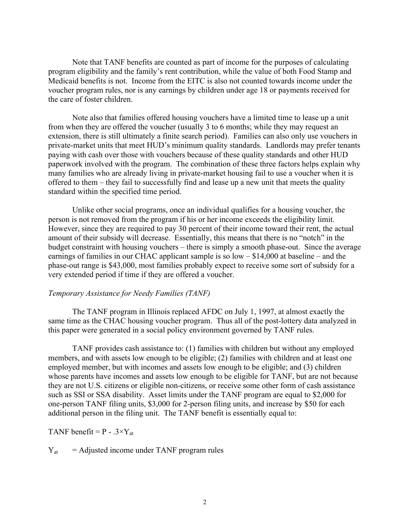Note that TANF benefits are counted as part of income for the purposes of calculating program eligibility and the family's rent contribution, while the value of both Food Stamp and Medicaid benefits is not. Income from the EITC is also not counted towards income under the voucher program rules, nor is any earnings by children under age 18 or payments received for the care of foster children.

Note also that families offered housing vouchers have a limited time to lease up a unit from when they are offered the voucher (usually 3 to 6 months; while they may request an extension, there is still ultimately a finite search period). Families can also only use vouchers in private-market units that meet HUD's minimum quality standards. Landlords may prefer tenants paying with cash over those with vouchers because of these quality standards and other HUD paperwork involved with the program. The combination of these three factors helps explain why many families who are already living in private-market housing fail to use a voucher when it is offered to them – they fail to successfully find and lease up a new unit that meets the quality standard within the specified time period.

Unlike other social programs, once an individual qualifies for a housing voucher, the person is not removed from the program if his or her income exceeds the eligibility limit. However, since they are required to pay 30 percent of their income toward their rent, the actual amount of their subsidy will decrease. Essentially, this means that there is no "notch" in the budget constraint with housing vouchers – there is simply a smooth phase-out. Since the average earnings of families in our CHAC applicant sample is so low – \$14,000 at baseline – and the phase-out range is \$43,000, most families probably expect to receive some sort of subsidy for a very extended period if time if they are offered a voucher.

### *Temporary Assistance for Needy Families (TANF)*

The TANF program in Illinois replaced AFDC on July 1, 1997, at almost exactly the same time as the CHAC housing voucher program. Thus all of the post-lottery data analyzed in this paper were generated in a social policy environment governed by TANF rules.

TANF provides cash assistance to: (1) families with children but without any employed members, and with assets low enough to be eligible; (2) families with children and at least one employed member, but with incomes and assets low enough to be eligible; and (3) children whose parents have incomes and assets low enough to be eligible for TANF, but are not because they are not U.S. citizens or eligible non-citizens, or receive some other form of cash assistance such as SSI or SSA disability. Asset limits under the TANF program are equal to \$2,000 for one-person TANF filing units, \$3,000 for 2-person filing units, and increase by \$50 for each additional person in the filing unit. The TANF benefit is essentially equal to:

TANF benefit =  $P - .3 \times Y_{at}$ 

 $Y_{\text{at}}$  = Adjusted income under TANF program rules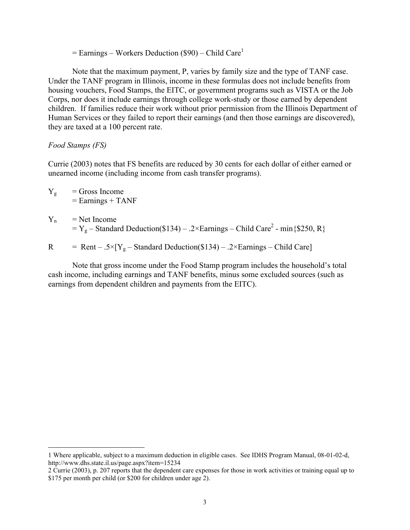$=$  Earnings – Workers Deduction (\$90) – Child Care<sup>1</sup>

Note that the maximum payment, P, varies by family size and the type of TANF case. Under the TANF program in Illinois, income in these formulas does not include benefits from housing vouchers, Food Stamps, the EITC, or government programs such as VISTA or the Job Corps, nor does it include earnings through college work-study or those earned by dependent children. If families reduce their work without prior permission from the Illinois Department of Human Services or they failed to report their earnings (and then those earnings are discovered), they are taxed at a 100 percent rate.

### *Food Stamps (FS)*

Currie (2003) notes that FS benefits are reduced by 30 cents for each dollar of either earned or unearned income (including income from cash transfer programs).

- $Y_g$  = Gross Income  $=$  Earnings  $+$  TANF
- $Y_n$  = Net Income  $= Y_g -$ Standard Deduction(\$134) – .2×Earnings – Child Care<sup>2</sup> - min{\$250, R}

R = Rent – .5×[Y<sub>g</sub> – Standard Deduction(\$134) – .2×Earnings – Child Care]

Note that gross income under the Food Stamp program includes the household's total cash income, including earnings and TANF benefits, minus some excluded sources (such as earnings from dependent children and payments from the EITC).

 <sup>1</sup> Where applicable, subject to a maximum deduction in eligible cases. See IDHS Program Manual, 08-01-02-d, http://www.dhs.state.il.us/page.aspx?item=15234

<sup>2</sup> Currie (2003), p. 207 reports that the dependent care expenses for those in work activities or training equal up to \$175 per month per child (or \$200 for children under age 2).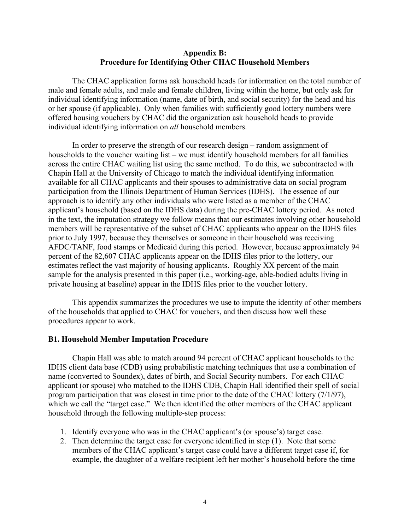# **Appendix B: Procedure for Identifying Other CHAC Household Members**

The CHAC application forms ask household heads for information on the total number of male and female adults, and male and female children, living within the home, but only ask for individual identifying information (name, date of birth, and social security) for the head and his or her spouse (if applicable). Only when families with sufficiently good lottery numbers were offered housing vouchers by CHAC did the organization ask household heads to provide individual identifying information on *all* household members.

In order to preserve the strength of our research design – random assignment of households to the voucher waiting list – we must identify household members for all families across the entire CHAC waiting list using the same method. To do this, we subcontracted with Chapin Hall at the University of Chicago to match the individual identifying information available for all CHAC applicants and their spouses to administrative data on social program participation from the Illinois Department of Human Services (IDHS). The essence of our approach is to identify any other individuals who were listed as a member of the CHAC applicant's household (based on the IDHS data) during the pre-CHAC lottery period. As noted in the text, the imputation strategy we follow means that our estimates involving other household members will be representative of the subset of CHAC applicants who appear on the IDHS files prior to July 1997, because they themselves or someone in their household was receiving AFDC/TANF, food stamps or Medicaid during this period. However, because approximately 94 percent of the 82,607 CHAC applicants appear on the IDHS files prior to the lottery, our estimates reflect the vast majority of housing applicants. Roughly XX percent of the main sample for the analysis presented in this paper (i.e., working-age, able-bodied adults living in private housing at baseline) appear in the IDHS files prior to the voucher lottery.

This appendix summarizes the procedures we use to impute the identity of other members of the households that applied to CHAC for vouchers, and then discuss how well these procedures appear to work.

### **B1. Household Member Imputation Procedure**

Chapin Hall was able to match around 94 percent of CHAC applicant households to the IDHS client data base (CDB) using probabilistic matching techniques that use a combination of name (converted to Soundex), dates of birth, and Social Security numbers. For each CHAC applicant (or spouse) who matched to the IDHS CDB, Chapin Hall identified their spell of social program participation that was closest in time prior to the date of the CHAC lottery (7/1/97), which we call the "target case." We then identified the other members of the CHAC applicant household through the following multiple-step process:

- 1. Identify everyone who was in the CHAC applicant's (or spouse's) target case.
- 2. Then determine the target case for everyone identified in step (1). Note that some members of the CHAC applicant's target case could have a different target case if, for example, the daughter of a welfare recipient left her mother's household before the time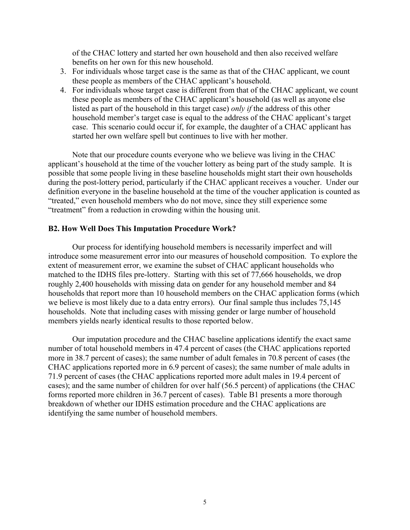of the CHAC lottery and started her own household and then also received welfare benefits on her own for this new household.

- 3. For individuals whose target case is the same as that of the CHAC applicant, we count these people as members of the CHAC applicant's household.
- 4. For individuals whose target case is different from that of the CHAC applicant, we count these people as members of the CHAC applicant's household (as well as anyone else listed as part of the household in this target case) *only if* the address of this other household member's target case is equal to the address of the CHAC applicant's target case. This scenario could occur if, for example, the daughter of a CHAC applicant has started her own welfare spell but continues to live with her mother.

Note that our procedure counts everyone who we believe was living in the CHAC applicant's household at the time of the voucher lottery as being part of the study sample. It is possible that some people living in these baseline households might start their own households during the post-lottery period, particularly if the CHAC applicant receives a voucher. Under our definition everyone in the baseline household at the time of the voucher application is counted as "treated," even household members who do not move, since they still experience some "treatment" from a reduction in crowding within the housing unit.

# **B2. How Well Does This Imputation Procedure Work?**

Our process for identifying household members is necessarily imperfect and will introduce some measurement error into our measures of household composition. To explore the extent of measurement error, we examine the subset of CHAC applicant households who matched to the IDHS files pre-lottery. Starting with this set of 77,666 households, we drop roughly 2,400 households with missing data on gender for any household member and 84 households that report more than 10 household members on the CHAC application forms (which we believe is most likely due to a data entry errors). Our final sample thus includes 75,145 households. Note that including cases with missing gender or large number of household members yields nearly identical results to those reported below.

Our imputation procedure and the CHAC baseline applications identify the exact same number of total household members in 47.4 percent of cases (the CHAC applications reported more in 38.7 percent of cases); the same number of adult females in 70.8 percent of cases (the CHAC applications reported more in 6.9 percent of cases); the same number of male adults in 71.9 percent of cases (the CHAC applications reported more adult males in 19.4 percent of cases); and the same number of children for over half (56.5 percent) of applications (the CHAC forms reported more children in 36.7 percent of cases). Table B1 presents a more thorough breakdown of whether our IDHS estimation procedure and the CHAC applications are identifying the same number of household members.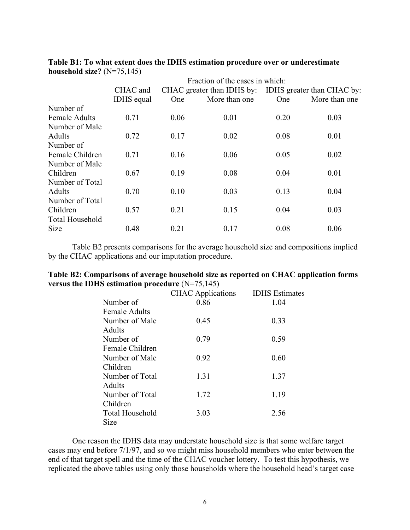|                                      | Fraction of the cases in which:                       |      |               |
|--------------------------------------|-------------------------------------------------------|------|---------------|
| CHAC and                             | CHAC greater than IDHS by: IDHS greater than CHAC by: |      |               |
| <b>IDHS</b> equal<br><b>One</b>      | More than one                                         | One  | More than one |
| Number of                            |                                                       |      |               |
| 0.71<br><b>Female Adults</b><br>0.06 | 0.01                                                  | 0.20 | 0.03          |
| Number of Male                       |                                                       |      |               |
| 0.72<br>Adults<br>0.17               | 0.02                                                  | 0.08 | 0.01          |
| Number of                            |                                                       |      |               |
| 0.71<br>Female Children<br>0.16      | 0.06                                                  | 0.05 | 0.02          |
| Number of Male                       |                                                       |      |               |
| 0.19<br>Children<br>0.67             | 0.08                                                  | 0.04 | 0.01          |
| Number of Total                      |                                                       |      |               |
| 0.70<br>0.10<br>Adults               | 0.03                                                  | 0.13 | 0.04          |
| Number of Total                      |                                                       |      |               |
| 0.21<br>Children<br>0.57             | 0.15                                                  | 0.04 | 0.03          |
| <b>Total Household</b>               |                                                       |      |               |
| Size<br>0.48<br>0.21                 | 0.17                                                  | 0.08 | 0.06          |

**Table B1: To what extent does the IDHS estimation procedure over or underestimate household size?** (N=75,145)

Table B2 presents comparisons for the average household size and compositions implied by the CHAC applications and our imputation procedure.

| Table B2: Comparisons of average household size as reported on CHAC application forms |  |  |
|---------------------------------------------------------------------------------------|--|--|
| versus the IDHS estimation procedure $(N=75,145)$                                     |  |  |

|                        | <b>CHAC</b> Applications | <b>IDHS</b> Estimates |
|------------------------|--------------------------|-----------------------|
| Number of              | 0.86                     | 1.04                  |
| <b>Female Adults</b>   |                          |                       |
| Number of Male         | 0.45                     | 0.33                  |
| <b>Adults</b>          |                          |                       |
| Number of              | 0.79                     | 0.59                  |
| Female Children        |                          |                       |
| Number of Male         | 0.92                     | 0.60                  |
| Children               |                          |                       |
| Number of Total        | 1.31                     | 1.37                  |
| Adults                 |                          |                       |
| Number of Total        | 1.72                     | 1.19                  |
| Children               |                          |                       |
| <b>Total Household</b> | 3.03                     | 2.56                  |
| <b>Size</b>            |                          |                       |

One reason the IDHS data may understate household size is that some welfare target cases may end before 7/1/97, and so we might miss household members who enter between the end of that target spell and the time of the CHAC voucher lottery. To test this hypothesis, we replicated the above tables using only those households where the household head's target case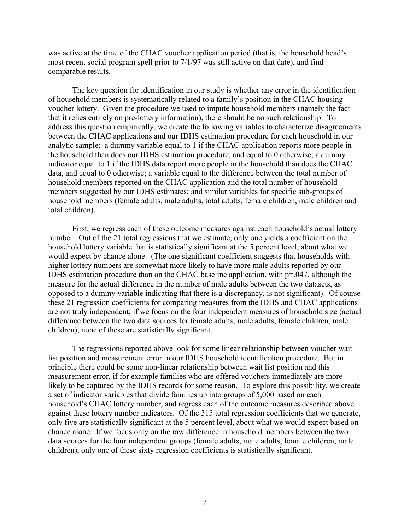was active at the time of the CHAC voucher application period (that is, the household head's most recent social program spell prior to 7/1/97 was still active on that date), and find comparable results.

The key question for identification in our study is whether any error in the identification of household members is systematically related to a family's position in the CHAC housingvoucher lottery. Given the procedure we used to impute household members (namely the fact that it relies entirely on pre-lottery information), there should be no such relationship. To address this question empirically, we create the following variables to characterize disagreements between the CHAC applications and our IDHS estimation procedure for each household in our analytic sample: a dummy variable equal to 1 if the CHAC application reports more people in the household than does our IDHS estimation procedure, and equal to 0 otherwise; a dummy indicator equal to 1 if the IDHS data report more people in the household than does the CHAC data, and equal to 0 otherwise; a variable equal to the difference between the total number of household members reported on the CHAC application and the total number of household members suggested by our IDHS estimates; and similar variables for specific sub-groups of household members (female adults, male adults, total adults, female children, male children and total children).

First, we regress each of these outcome measures against each household's actual lottery number. Out of the 21 total regressions that we estimate, only one yields a coefficient on the household lottery variable that is statistically significant at the 5 percent level, about what we would expect by chance alone. (The one significant coefficient suggests that households with higher lottery numbers are somewhat more likely to have more male adults reported by our IDHS estimation procedure than on the CHAC baseline application, with p=.047, although the measure for the actual difference in the number of male adults between the two datasets, as opposed to a dummy variable indicating that there is a discrepancy, is not significant). Of course these 21 regression coefficients for comparing measures from the IDHS and CHAC applications are not truly independent; if we focus on the four independent measures of household size (actual difference between the two data sources for female adults, male adults, female children, male children), none of these are statistically significant.

The regressions reported above look for some linear relationship between voucher wait list position and measurement error in our IDHS household identification procedure. But in principle there could be some non-linear relationship between wait list position and this measurement error, if for example families who are offered vouchers immediately are more likely to be captured by the IDHS records for some reason. To explore this possibility, we create a set of indicator variables that divide families up into groups of 5,000 based on each household's CHAC lottery number, and regress each of the outcome measures described above against these lottery number indicators. Of the 315 total regression coefficients that we generate, only five are statistically significant at the 5 percent level, about what we would expect based on chance alone. If we focus only on the raw difference in household members between the two data sources for the four independent groups (female adults, male adults, female children, male children), only one of these sixty regression coefficients is statistically significant.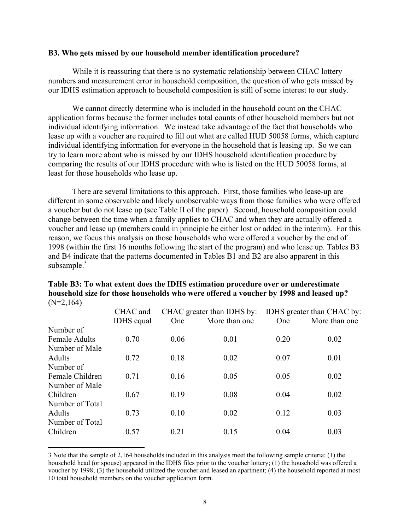### **B3. Who gets missed by our household member identification procedure?**

While it is reassuring that there is no systematic relationship between CHAC lottery numbers and measurement error in household composition, the question of who gets missed by our IDHS estimation approach to household composition is still of some interest to our study.

We cannot directly determine who is included in the household count on the CHAC application forms because the former includes total counts of other household members but not individual identifying information. We instead take advantage of the fact that households who lease up with a voucher are required to fill out what are called HUD 50058 forms, which capture individual identifying information for everyone in the household that is leasing up. So we can try to learn more about who is missed by our IDHS household identification procedure by comparing the results of our IDHS procedure with who is listed on the HUD 50058 forms, at least for those households who lease up.

There are several limitations to this approach. First, those families who lease-up are different in some observable and likely unobservable ways from those families who were offered a voucher but do not lease up (see Table II of the paper). Second, household composition could change between the time when a family applies to CHAC and when they are actually offered a voucher and lease up (members could in principle be either lost or added in the interim). For this reason, we focus this analysis on those households who were offered a voucher by the end of 1998 (within the first 16 months following the start of the program) and who lease up. Tables B3 and B4 indicate that the patterns documented in Tables B1 and B2 are also apparent in this subsample.<sup>3</sup>

| $1 + 1 = 1 + 1$      |                   |      |                            |      |                            |
|----------------------|-------------------|------|----------------------------|------|----------------------------|
|                      | CHAC and          |      | CHAC greater than IDHS by: |      | IDHS greater than CHAC by: |
|                      | <b>IDHS</b> equal | One  | More than one              | One  | More than one              |
| Number of            |                   |      |                            |      |                            |
| <b>Female Adults</b> | 0.70              | 0.06 | 0.01                       | 0.20 | 0.02                       |
| Number of Male       |                   |      |                            |      |                            |
| <b>Adults</b>        | 0.72              | 0.18 | 0.02                       | 0.07 | 0.01                       |
| Number of            |                   |      |                            |      |                            |
| Female Children      | 0.71              | 0.16 | 0.05                       | 0.05 | 0.02                       |
| Number of Male       |                   |      |                            |      |                            |
| Children             | 0.67              | 0.19 | 0.08                       | 0.04 | 0.02                       |
| Number of Total      |                   |      |                            |      |                            |
| Adults               | 0.73              | 0.10 | 0.02                       | 0.12 | 0.03                       |
| Number of Total      |                   |      |                            |      |                            |
| Children             | 0.57              | 0.21 | 0.15                       | 0.04 | 0.03                       |

# **Table B3: To what extent does the IDHS estimation procedure over or underestimate household size for those households who were offered a voucher by 1998 and leased up?**   $(N=2,164)$

 3 Note that the sample of 2,164 households included in this analysis meet the following sample criteria: (1) the household head (or spouse) appeared in the IDHS files prior to the voucher lottery; (1) the household was offered a voucher by 1998; (3) the household utilized the voucher and leased an apartment; (4) the household reported at most 10 total household members on the voucher application form.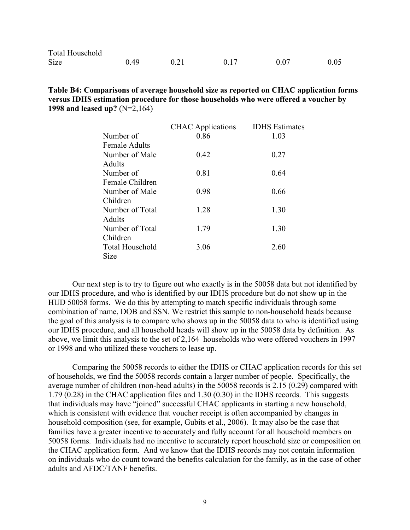| <b>Total Household</b> |      |      |      |      |
|------------------------|------|------|------|------|
| <b>Size</b>            | 0.49 | 0.17 | 0.07 | 0.05 |

**Table B4: Comparisons of average household size as reported on CHAC application forms versus IDHS estimation procedure for those households who were offered a voucher by 1998 and leased up?** (N=2,164)

|                        | <b>CHAC</b> Applications | <b>IDHS</b> Estimates |
|------------------------|--------------------------|-----------------------|
| Number of              | 0.86                     | 1.03                  |
| <b>Female Adults</b>   |                          |                       |
| Number of Male         | 0.42                     | 0.27                  |
| Adults                 |                          |                       |
| Number of              | 0.81                     | 0.64                  |
| Female Children        |                          |                       |
| Number of Male         | 0.98                     | 0.66                  |
| Children               |                          |                       |
| Number of Total        | 1.28                     | 1.30                  |
| Adults                 |                          |                       |
| Number of Total        | 1.79                     | 1.30                  |
| Children               |                          |                       |
| <b>Total Household</b> | 3.06                     | 2.60                  |
| Size                   |                          |                       |

Our next step is to try to figure out who exactly is in the 50058 data but not identified by our IDHS procedure, and who is identified by our IDHS procedure but do not show up in the HUD 50058 forms. We do this by attempting to match specific individuals through some combination of name, DOB and SSN. We restrict this sample to non-household heads because the goal of this analysis is to compare who shows up in the 50058 data to who is identified using our IDHS procedure, and all household heads will show up in the 50058 data by definition. As above, we limit this analysis to the set of 2,164 households who were offered vouchers in 1997 or 1998 and who utilized these vouchers to lease up.

Comparing the 50058 records to either the IDHS or CHAC application records for this set of households, we find the 50058 records contain a larger number of people. Specifically, the average number of children (non-head adults) in the 50058 records is 2.15 (0.29) compared with 1.79 (0.28) in the CHAC application files and 1.30 (0.30) in the IDHS records. This suggests that individuals may have "joined" successful CHAC applicants in starting a new household, which is consistent with evidence that voucher receipt is often accompanied by changes in household composition (see, for example, Gubits et al., 2006). It may also be the case that families have a greater incentive to accurately and fully account for all household members on 50058 forms. Individuals had no incentive to accurately report household size or composition on the CHAC application form. And we know that the IDHS records may not contain information on individuals who do count toward the benefits calculation for the family, as in the case of other adults and AFDC/TANF benefits.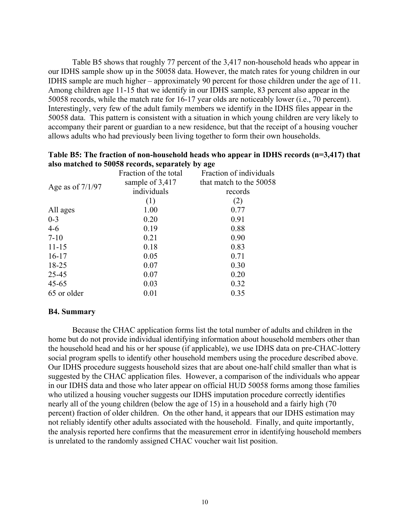Table B5 shows that roughly 77 percent of the 3,417 non-household heads who appear in our IDHS sample show up in the 50058 data. However, the match rates for young children in our IDHS sample are much higher – approximately 90 percent for those children under the age of 11. Among children age 11-15 that we identify in our IDHS sample, 83 percent also appear in the 50058 records, while the match rate for 16-17 year olds are noticeably lower (i.e., 70 percent). Interestingly, very few of the adult family members we identify in the IDHS files appear in the 50058 data. This pattern is consistent with a situation in which young children are very likely to accompany their parent or guardian to a new residence, but that the receipt of a housing voucher allows adults who had previously been living together to form their own households.

|                    | $\frac{1}{2}$ and $\frac{1}{2}$ and $\frac{1}{2}$ and $\frac{1}{2}$ and $\frac{1}{2}$ and $\frac{1}{2}$ and $\frac{1}{2}$ and $\frac{1}{2}$ and $\frac{1}{2}$ and $\frac{1}{2}$ and $\frac{1}{2}$ and $\frac{1}{2}$ and $\frac{1}{2}$ and $\frac{1}{2}$ and $\frac{1}{2}$ and $\frac{1}{2}$ a |                         |
|--------------------|-----------------------------------------------------------------------------------------------------------------------------------------------------------------------------------------------------------------------------------------------------------------------------------------------|-------------------------|
|                    | Fraction of the total                                                                                                                                                                                                                                                                         | Fraction of individuals |
|                    | sample of 3,417                                                                                                                                                                                                                                                                               | that match to the 50058 |
| Age as of $7/1/97$ | individuals                                                                                                                                                                                                                                                                                   | records                 |
|                    | (1)                                                                                                                                                                                                                                                                                           | (2)                     |
| All ages           | 1.00                                                                                                                                                                                                                                                                                          | 0.77                    |
| $0 - 3$            | 0.20                                                                                                                                                                                                                                                                                          | 0.91                    |
| $4-6$              | 0.19                                                                                                                                                                                                                                                                                          | 0.88                    |
| $7 - 10$           | 0.21                                                                                                                                                                                                                                                                                          | 0.90                    |
| $11 - 15$          | 0.18                                                                                                                                                                                                                                                                                          | 0.83                    |
| $16-17$            | 0.05                                                                                                                                                                                                                                                                                          | 0.71                    |
| 18-25              | 0.07                                                                                                                                                                                                                                                                                          | 0.30                    |
| 25-45              | 0.07                                                                                                                                                                                                                                                                                          | 0.20                    |
| $45 - 65$          | 0.03                                                                                                                                                                                                                                                                                          | 0.32                    |
| 65 or older        | 0.01                                                                                                                                                                                                                                                                                          | 0.35                    |

| Table B5: The fraction of non-household heads who appear in IDHS records (n=3,417) that |
|-----------------------------------------------------------------------------------------|
| also matched to 50058 records, separately by age                                        |

### **B4. Summary**

Because the CHAC application forms list the total number of adults and children in the home but do not provide individual identifying information about household members other than the household head and his or her spouse (if applicable), we use IDHS data on pre-CHAC-lottery social program spells to identify other household members using the procedure described above. Our IDHS procedure suggests household sizes that are about one-half child smaller than what is suggested by the CHAC application files. However, a comparison of the individuals who appear in our IDHS data and those who later appear on official HUD 50058 forms among those families who utilized a housing voucher suggests our IDHS imputation procedure correctly identifies nearly all of the young children (below the age of 15) in a household and a fairly high (70 percent) fraction of older children. On the other hand, it appears that our IDHS estimation may not reliably identify other adults associated with the household. Finally, and quite importantly, the analysis reported here confirms that the measurement error in identifying household members is unrelated to the randomly assigned CHAC voucher wait list position.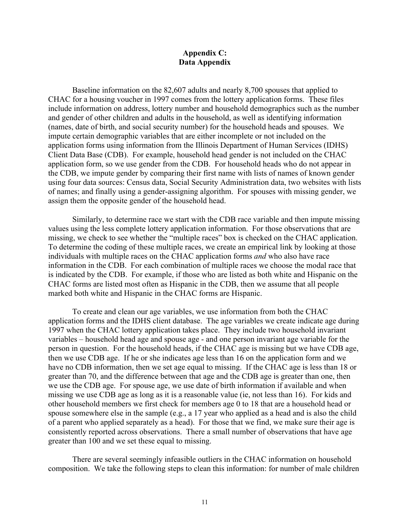# **Appendix C: Data Appendix**

Baseline information on the 82,607 adults and nearly 8,700 spouses that applied to CHAC for a housing voucher in 1997 comes from the lottery application forms. These files include information on address, lottery number and household demographics such as the number and gender of other children and adults in the household, as well as identifying information (names, date of birth, and social security number) for the household heads and spouses. We impute certain demographic variables that are either incomplete or not included on the application forms using information from the Illinois Department of Human Services (IDHS) Client Data Base (CDB). For example, household head gender is not included on the CHAC application form, so we use gender from the CDB. For household heads who do not appear in the CDB, we impute gender by comparing their first name with lists of names of known gender using four data sources: Census data, Social Security Administration data, two websites with lists of names; and finally using a gender-assigning algorithm. For spouses with missing gender, we assign them the opposite gender of the household head.

Similarly, to determine race we start with the CDB race variable and then impute missing values using the less complete lottery application information. For those observations that are missing, we check to see whether the "multiple races" box is checked on the CHAC application. To determine the coding of these multiple races, we create an empirical link by looking at those individuals with multiple races on the CHAC application forms *and* who also have race information in the CDB. For each combination of multiple races we choose the modal race that is indicated by the CDB. For example, if those who are listed as both white and Hispanic on the CHAC forms are listed most often as Hispanic in the CDB, then we assume that all people marked both white and Hispanic in the CHAC forms are Hispanic.

To create and clean our age variables, we use information from both the CHAC application forms and the IDHS client database. The age variables we create indicate age during 1997 when the CHAC lottery application takes place. They include two household invariant variables – household head age and spouse age - and one person invariant age variable for the person in question. For the household heads, if the CHAC age is missing but we have CDB age, then we use CDB age. If he or she indicates age less than 16 on the application form and we have no CDB information, then we set age equal to missing. If the CHAC age is less than 18 or greater than 70, and the difference between that age and the CDB age is greater than one, then we use the CDB age. For spouse age, we use date of birth information if available and when missing we use CDB age as long as it is a reasonable value (ie, not less than 16). For kids and other household members we first check for members age 0 to 18 that are a household head or spouse somewhere else in the sample (e.g., a 17 year who applied as a head and is also the child of a parent who applied separately as a head). For those that we find, we make sure their age is consistently reported across observations. There a small number of observations that have age greater than 100 and we set these equal to missing.

There are several seemingly infeasible outliers in the CHAC information on household composition. We take the following steps to clean this information: for number of male children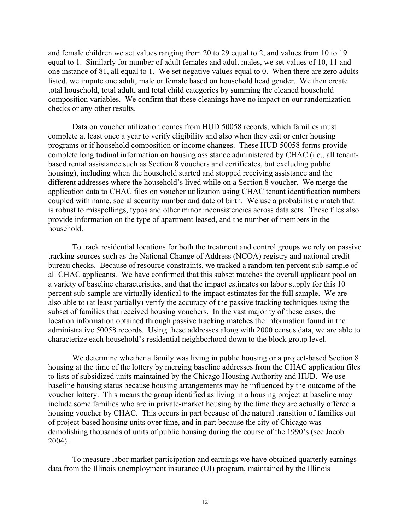and female children we set values ranging from 20 to 29 equal to 2, and values from 10 to 19 equal to 1. Similarly for number of adult females and adult males, we set values of 10, 11 and one instance of 81, all equal to 1. We set negative values equal to 0. When there are zero adults listed, we impute one adult, male or female based on household head gender. We then create total household, total adult, and total child categories by summing the cleaned household composition variables. We confirm that these cleanings have no impact on our randomization checks or any other results.

Data on voucher utilization comes from HUD 50058 records, which families must complete at least once a year to verify eligibility and also when they exit or enter housing programs or if household composition or income changes. These HUD 50058 forms provide complete longitudinal information on housing assistance administered by CHAC (i.e., all tenantbased rental assistance such as Section 8 vouchers and certificates, but excluding public housing), including when the household started and stopped receiving assistance and the different addresses where the household's lived while on a Section 8 voucher. We merge the application data to CHAC files on voucher utilization using CHAC tenant identification numbers coupled with name, social security number and date of birth. We use a probabilistic match that is robust to misspellings, typos and other minor inconsistencies across data sets. These files also provide information on the type of apartment leased, and the number of members in the household.

To track residential locations for both the treatment and control groups we rely on passive tracking sources such as the National Change of Address (NCOA) registry and national credit bureau checks. Because of resource constraints, we tracked a random ten percent sub-sample of all CHAC applicants. We have confirmed that this subset matches the overall applicant pool on a variety of baseline characteristics, and that the impact estimates on labor supply for this 10 percent sub-sample are virtually identical to the impact estimates for the full sample. We are also able to (at least partially) verify the accuracy of the passive tracking techniques using the subset of families that received housing vouchers. In the vast majority of these cases, the location information obtained through passive tracking matches the information found in the administrative 50058 records. Using these addresses along with 2000 census data, we are able to characterize each household's residential neighborhood down to the block group level.

We determine whether a family was living in public housing or a project-based Section 8 housing at the time of the lottery by merging baseline addresses from the CHAC application files to lists of subsidized units maintained by the Chicago Housing Authority and HUD. We use baseline housing status because housing arrangements may be influenced by the outcome of the voucher lottery. This means the group identified as living in a housing project at baseline may include some families who are in private-market housing by the time they are actually offered a housing voucher by CHAC. This occurs in part because of the natural transition of families out of project-based housing units over time, and in part because the city of Chicago was demolishing thousands of units of public housing during the course of the 1990's (see Jacob 2004).

To measure labor market participation and earnings we have obtained quarterly earnings data from the Illinois unemployment insurance (UI) program, maintained by the Illinois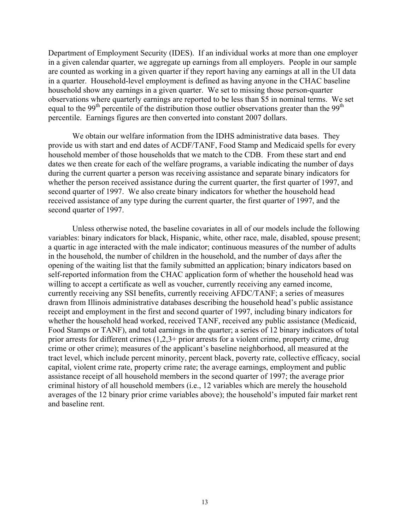Department of Employment Security (IDES). If an individual works at more than one employer in a given calendar quarter, we aggregate up earnings from all employers. People in our sample are counted as working in a given quarter if they report having any earnings at all in the UI data in a quarter. Household-level employment is defined as having anyone in the CHAC baseline household show any earnings in a given quarter. We set to missing those person-quarter observations where quarterly earnings are reported to be less than \$5 in nominal terms. We set equal to the 99<sup>th</sup> percentile of the distribution those outlier observations greater than the 99<sup>th</sup> percentile. Earnings figures are then converted into constant 2007 dollars.

We obtain our welfare information from the IDHS administrative data bases. They provide us with start and end dates of ACDF/TANF, Food Stamp and Medicaid spells for every household member of those households that we match to the CDB. From these start and end dates we then create for each of the welfare programs, a variable indicating the number of days during the current quarter a person was receiving assistance and separate binary indicators for whether the person received assistance during the current quarter, the first quarter of 1997, and second quarter of 1997. We also create binary indicators for whether the household head received assistance of any type during the current quarter, the first quarter of 1997, and the second quarter of 1997.

Unless otherwise noted, the baseline covariates in all of our models include the following variables: binary indicators for black, Hispanic, white, other race, male, disabled, spouse present; a quartic in age interacted with the male indicator; continuous measures of the number of adults in the household, the number of children in the household, and the number of days after the opening of the waiting list that the family submitted an application; binary indicators based on self-reported information from the CHAC application form of whether the household head was willing to accept a certificate as well as voucher, currently receiving any earned income, currently receiving any SSI benefits, currently receiving AFDC/TANF; a series of measures drawn from Illinois administrative databases describing the household head's public assistance receipt and employment in the first and second quarter of 1997, including binary indicators for whether the household head worked, received TANF, received any public assistance (Medicaid, Food Stamps or TANF), and total earnings in the quarter; a series of 12 binary indicators of total prior arrests for different crimes (1,2,3+ prior arrests for a violent crime, property crime, drug crime or other crime); measures of the applicant's baseline neighborhood, all measured at the tract level, which include percent minority, percent black, poverty rate, collective efficacy, social capital, violent crime rate, property crime rate; the average earnings, employment and public assistance receipt of all household members in the second quarter of 1997; the average prior criminal history of all household members (i.e., 12 variables which are merely the household averages of the 12 binary prior crime variables above); the household's imputed fair market rent and baseline rent.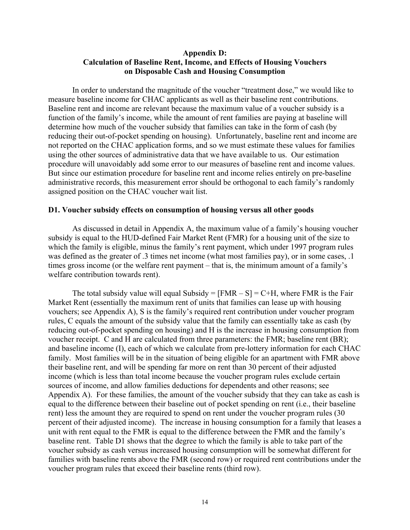# **Appendix D: Calculation of Baseline Rent, Income, and Effects of Housing Vouchers on Disposable Cash and Housing Consumption**

In order to understand the magnitude of the voucher "treatment dose," we would like to measure baseline income for CHAC applicants as well as their baseline rent contributions. Baseline rent and income are relevant because the maximum value of a voucher subsidy is a function of the family's income, while the amount of rent families are paying at baseline will determine how much of the voucher subsidy that families can take in the form of cash (by reducing their out-of-pocket spending on housing). Unfortunately, baseline rent and income are not reported on the CHAC application forms, and so we must estimate these values for families using the other sources of administrative data that we have available to us. Our estimation procedure will unavoidably add some error to our measures of baseline rent and income values. But since our estimation procedure for baseline rent and income relies entirely on pre-baseline administrative records, this measurement error should be orthogonal to each family's randomly assigned position on the CHAC voucher wait list.

# **D1. Voucher subsidy effects on consumption of housing versus all other goods**

As discussed in detail in Appendix A, the maximum value of a family's housing voucher subsidy is equal to the HUD-defined Fair Market Rent (FMR) for a housing unit of the size to which the family is eligible, minus the family's rent payment, which under 1997 program rules was defined as the greater of .3 times net income (what most families pay), or in some cases, .1 times gross income (or the welfare rent payment – that is, the minimum amount of a family's welfare contribution towards rent).

The total subsidy value will equal Subsidy =  $[FMR - S] = C+H$ , where FMR is the Fair Market Rent (essentially the maximum rent of units that families can lease up with housing vouchers; see Appendix A), S is the family's required rent contribution under voucher program rules, C equals the amount of the subsidy value that the family can essentially take as cash (by reducing out-of-pocket spending on housing) and H is the increase in housing consumption from voucher receipt. C and H are calculated from three parameters: the FMR; baseline rent (BR); and baseline income (I), each of which we calculate from pre-lottery information for each CHAC family. Most families will be in the situation of being eligible for an apartment with FMR above their baseline rent, and will be spending far more on rent than 30 percent of their adjusted income (which is less than total income because the voucher program rules exclude certain sources of income, and allow families deductions for dependents and other reasons; see Appendix A). For these families, the amount of the voucher subsidy that they can take as cash is equal to the difference between their baseline out of pocket spending on rent (i.e., their baseline rent) less the amount they are required to spend on rent under the voucher program rules (30 percent of their adjusted income). The increase in housing consumption for a family that leases a unit with rent equal to the FMR is equal to the difference between the FMR and the family's baseline rent. Table D1 shows that the degree to which the family is able to take part of the voucher subsidy as cash versus increased housing consumption will be somewhat different for families with baseline rents above the FMR (second row) or required rent contributions under the voucher program rules that exceed their baseline rents (third row).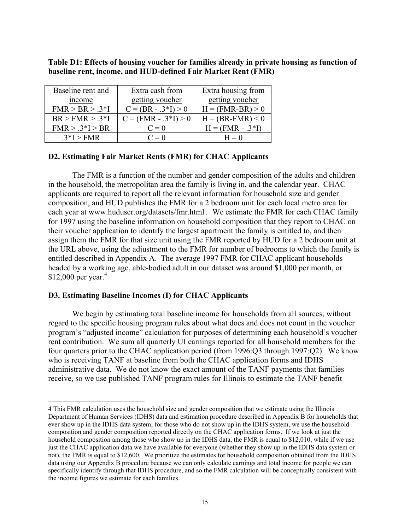| Baseline rent and | Extra cash from        | Extra housing from        |
|-------------------|------------------------|---------------------------|
| income            | getting voucher        | getting voucher           |
| $FMR > BR > .3*I$ | $C = (BR - .3*I) > 0$  | $H = (FMR-BR) > 0$        |
| $BR > FMR > .3*I$ | $C = (FMR - .3*I) > 0$ | $H = (BR\text{-}FMR) < 0$ |
| $FMR > .3*I > BR$ | $C=0$                  | $H = (FMR - .3*I)$        |
| $3*I>FMR$         | $C=0$                  | $H = 0$                   |

**Table D1: Effects of housing voucher for families already in private housing as function of baseline rent, income, and HUD-defined Fair Market Rent (FMR)**

# **D2. Estimating Fair Market Rents (FMR) for CHAC Applicants**

The FMR is a function of the number and gender composition of the adults and children in the household, the metropolitan area the family is living in, and the calendar year. CHAC applicants are required to report all the relevant information for household size and gender composition, and HUD publishes the FMR for a 2 bedroom unit for each local metro area for each year at www.huduser.org/datasets/fmr.html. We estimate the FMR for each CHAC family for 1997 using the baseline information on household composition that they report to CHAC on their voucher application to identify the largest apartment the family is entitled to, and then assign them the FMR for that size unit using the FMR reported by HUD for a 2 bedroom unit at the URL above, using the adjustment to the FMR for number of bedrooms to which the family is entitled described in Appendix A. The average 1997 FMR for CHAC applicant households headed by a working age, able-bodied adult in our dataset was around \$1,000 per month, or \$12,000 per year.<sup>4</sup>

# **D3. Estimating Baseline Incomes (I) for CHAC Applicants**

We begin by estimating total baseline income for households from all sources, without regard to the specific housing program rules about what does and does not count in the voucher program's "adjusted income" calculation for purposes of determining each household's voucher rent contribution. We sum all quarterly UI earnings reported for all household members for the four quarters prior to the CHAC application period (from 1996:Q3 through 1997:Q2). We know who is receiving TANF at baseline from both the CHAC application forms and IDHS administrative data. We do not know the exact amount of the TANF payments that families receive, so we use published TANF program rules for Illinois to estimate the TANF benefit

 <sup>4</sup> This FMR calculation uses the household size and gender composition that we estimate using the Illinois Department of Human Services (IDHS) data and estimation procedure described in Appendix B for households that ever show up in the IDHS data system; for those who do not show up in the IDHS system, we use the household composition and gender composition reported directly on the CHAC application forms. If we look at just the household composition among those who show up in the IDHS data, the FMR is equal to \$12,010, while if we use just the CHAC application data we have available for everyone (whether they show up in the IDHS data system or not), the FMR is equal to \$12,600. We prioritize the estimates for household composition obtained from the IDHS data using our Appendix B procedure because we can only calculate earnings and total income for people we can specifically identify through that IDHS procedure, and so the FMR calculation will be conceptually consistent with the income figures we estimate for each families.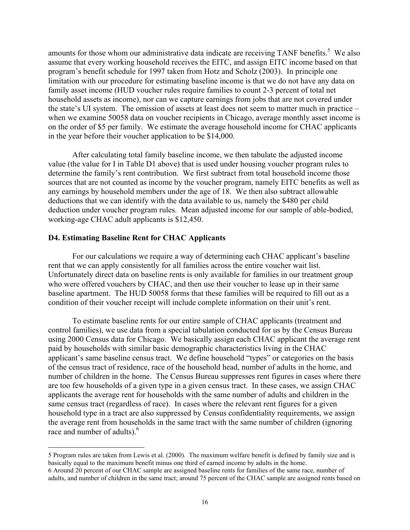amounts for those whom our administrative data indicate are receiving TANF benefits.<sup>5</sup> We also assume that every working household receives the EITC, and assign EITC income based on that program's benefit schedule for 1997 taken from Hotz and Scholz (2003). In principle one limitation with our procedure for estimating baseline income is that we do not have any data on family asset income (HUD voucher rules require families to count 2-3 percent of total net household assets as income), nor can we capture earnings from jobs that are not covered under the state's UI system. The omission of assets at least does not seem to matter much in practice – when we examine 50058 data on voucher recipients in Chicago, average monthly asset income is on the order of \$5 per family. We estimate the average household income for CHAC applicants in the year before their voucher application to be \$14,000.

After calculating total family baseline income, we then tabulate the adjusted income value (the value for I in Table D1 above) that is used under housing voucher program rules to determine the family's rent contribution. We first subtract from total household income those sources that are not counted as income by the voucher program, namely EITC benefits as well as any earnings by household members under the age of 18. We then also subtract allowable deductions that we can identify with the data available to us, namely the \$480 per child deduction under voucher program rules. Mean adjusted income for our sample of able-bodied, working-age CHAC adult applicants is \$12,450.

# **D4. Estimating Baseline Rent for CHAC Applicants**

For our calculations we require a way of determining each CHAC applicant's baseline rent that we can apply consistently for all families across the entire voucher wait list. Unfortunately direct data on baseline rents is only available for families in our treatment group who were offered vouchers by CHAC, and then use their voucher to lease up in their same baseline apartment. The HUD 50058 forms that these families will be required to fill out as a condition of their voucher receipt will include complete information on their unit's rent.

To estimate baseline rents for our entire sample of CHAC applicants (treatment and control families), we use data from a special tabulation conducted for us by the Census Bureau using 2000 Census data for Chicago. We basically assign each CHAC applicant the average rent paid by households with similar basic demographic characteristics living in the CHAC applicant's same baseline census tract. We define household "types" or categories on the basis of the census tract of residence, race of the household head, number of adults in the home, and number of children in the home. The Census Bureau suppresses rent figures in cases where there are too few households of a given type in a given census tract. In these cases, we assign CHAC applicants the average rent for households with the same number of adults and children in the same census tract (regardless of race). In cases where the relevant rent figures for a given household type in a tract are also suppressed by Census confidentiality requirements, we assign the average rent from households in the same tract with the same number of children (ignoring race and number of adults).<sup>6</sup>

 <sup>5</sup> Program rules are taken from Lewis et al. (2000). The maximum welfare benefit is defined by family size and is basically equal to the maximum benefit minus one third of earned income by adults in the home. 6 Around 20 percent of our CHAC sample are assigned baseline rents for families of the same race, number of adults, and number of children in the same tract; around 75 percent of the CHAC sample are assigned rents based on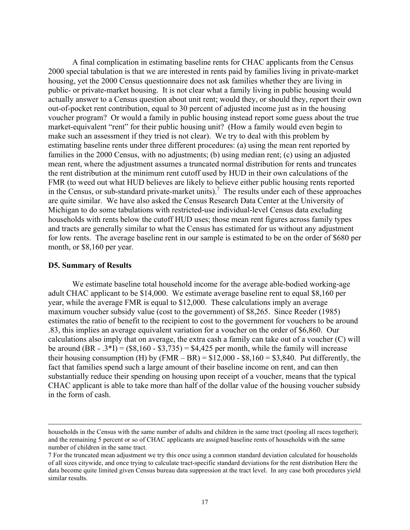A final complication in estimating baseline rents for CHAC applicants from the Census 2000 special tabulation is that we are interested in rents paid by families living in private-market housing, yet the 2000 Census questionnaire does not ask families whether they are living in public- or private-market housing. It is not clear what a family living in public housing would actually answer to a Census question about unit rent; would they, or should they, report their own out-of-pocket rent contribution, equal to 30 percent of adjusted income just as in the housing voucher program? Or would a family in public housing instead report some guess about the true market-equivalent "rent" for their public housing unit? (How a family would even begin to make such an assessment if they tried is not clear). We try to deal with this problem by estimating baseline rents under three different procedures: (a) using the mean rent reported by families in the 2000 Census, with no adjustments; (b) using median rent; (c) using an adjusted mean rent, where the adjustment assumes a truncated normal distribution for rents and truncates the rent distribution at the minimum rent cutoff used by HUD in their own calculations of the FMR (to weed out what HUD believes are likely to believe either public housing rents reported in the Census, or sub-standard private-market units).<sup>7</sup> The results under each of these approaches are quite similar. We have also asked the Census Research Data Center at the University of Michigan to do some tabulations with restricted-use individual-level Census data excluding households with rents below the cutoff HUD uses; those mean rent figures across family types and tracts are generally similar to what the Census has estimated for us without any adjustment for low rents. The average baseline rent in our sample is estimated to be on the order of \$680 per month, or \$8,160 per year.

### **D5. Summary of Results**

We estimate baseline total household income for the average able-bodied working-age adult CHAC applicant to be \$14,000. We estimate average baseline rent to equal \$8,160 per year, while the average FMR is equal to \$12,000. These calculations imply an average maximum voucher subsidy value (cost to the government) of \$8,265. Since Reeder (1985) estimates the ratio of benefit to the recipient to cost to the government for vouchers to be around .83, this implies an average equivalent variation for a voucher on the order of \$6,860. Our calculations also imply that on average, the extra cash a family can take out of a voucher (C) will be around  $(BR - .3 * I) = ($8,160 - $3,735) = $4,425$  per month, while the family will increase their housing consumption (H) by  $(FMR - BR) = $12,000 - $8,160 = $3,840$ . Put differently, the fact that families spend such a large amount of their baseline income on rent, and can then substantially reduce their spending on housing upon receipt of a voucher, means that the typical CHAC applicant is able to take more than half of the dollar value of the housing voucher subsidy in the form of cash.

households in the Census with the same number of adults and children in the same tract (pooling all races together); and the remaining 5 percent or so of CHAC applicants are assigned baseline rents of households with the same number of children in the same tract.

<sup>7</sup> For the truncated mean adjustment we try this once using a common standard deviation calculated for households of all sizes citywide, and once trying to calculate tract-specific standard deviations for the rent distribution Here the data become quite limited given Census bureau data suppression at the tract level. In any case both procedures yield similar results.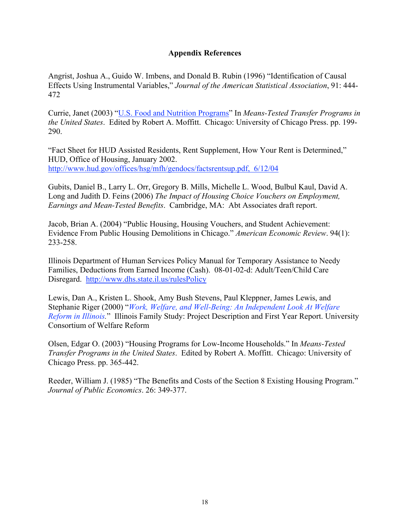# **Appendix References**

Angrist, Joshua A., Guido W. Imbens, and Donald B. Rubin (1996) "Identification of Causal Effects Using Instrumental Variables," *Journal of the American Statistical Association*, 91: 444- 472

Currie, Janet (2003) "U.S. Food and Nutrition Programs" In *Means-Tested Transfer Programs in the United States*. Edited by Robert A. Moffitt. Chicago: University of Chicago Press. pp. 199- 290.

"Fact Sheet for HUD Assisted Residents, Rent Supplement, How Your Rent is Determined," HUD, Office of Housing, January 2002. http://www.hud.gov/offices/hsg/mfh/gendocs/factsrentsup.pdf, 6/12/04

Gubits, Daniel B., Larry L. Orr, Gregory B. Mills, Michelle L. Wood, Bulbul Kaul, David A. Long and Judith D. Feins (2006) *The Impact of Housing Choice Vouchers on Employment, Earnings and Mean-Tested Benefits*. Cambridge, MA: Abt Associates draft report.

Jacob, Brian A. (2004) "Public Housing, Housing Vouchers, and Student Achievement: Evidence From Public Housing Demolitions in Chicago." *American Economic Review*. 94(1): 233-258.

Illinois Department of Human Services Policy Manual for Temporary Assistance to Needy Families, Deductions from Earned Income (Cash). 08-01-02-d: Adult/Teen/Child Care Disregard. http://www.dhs.state.il.us/rulesPolicy

Lewis, Dan A., Kristen L. Shook, Amy Bush Stevens, Paul Kleppner, James Lewis, and Stephanie Riger (2000) "*Work, Welfare, and Well-Being: An Independent Look At Welfare Reform in Illinois.*" Illinois Family Study: Project Description and First Year Report. University Consortium of Welfare Reform

Olsen, Edgar O. (2003) "Housing Programs for Low-Income Households." In *Means-Tested Transfer Programs in the United States*. Edited by Robert A. Moffitt. Chicago: University of Chicago Press. pp. 365-442.

Reeder, William J. (1985) "The Benefits and Costs of the Section 8 Existing Housing Program." *Journal of Public Economics*. 26: 349-377.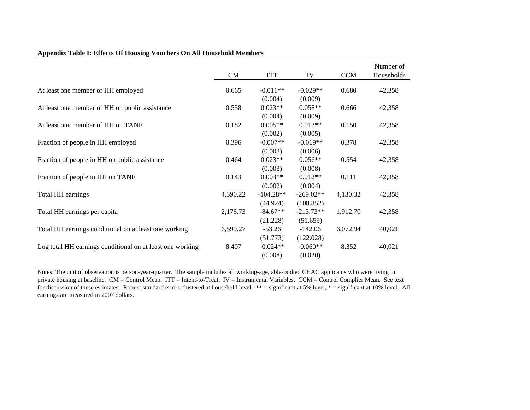|                                                           | CM       | <b>ITT</b>             | IV                       | <b>CCM</b> | Number of<br>Households |
|-----------------------------------------------------------|----------|------------------------|--------------------------|------------|-------------------------|
| At least one member of HH employed                        | 0.665    | $-0.011**$             | $-0.029**$               | 0.680      | 42,358                  |
| At least one member of HH on public assistance            | 0.558    | (0.004)<br>$0.023**$   | (0.009)<br>$0.058**$     | 0.666      | 42,358                  |
| At least one member of HH on TANF                         | 0.182    | (0.004)<br>$0.005**$   | (0.009)<br>$0.013**$     | 0.150      | 42,358                  |
|                                                           |          | (0.002)                | (0.005)                  |            |                         |
| Fraction of people in HH employed                         | 0.396    | $-0.007**$<br>(0.003)  | $-0.019**$<br>(0.006)    | 0.378      | 42,358                  |
| Fraction of people in HH on public assistance             | 0.464    | $0.023**$<br>(0.003)   | $0.056**$<br>(0.008)     | 0.554      | 42,358                  |
| Fraction of people in HH on TANF                          | 0.143    | $0.004**$<br>(0.002)   | $0.012**$<br>(0.004)     | 0.111      | 42,358                  |
| Total HH earnings                                         | 4,390.22 | $-104.28**$            | $-269.02**$              | 4,130.32   | 42,358                  |
| Total HH earnings per capita                              | 2,178.73 | (44.924)<br>$-84.67**$ | (108.852)<br>$-213.73**$ | 1,912.70   | 42,358                  |
| Total HH earnings conditional on at least one working     | 6,599.27 | (21.228)<br>$-53.26$   | (51.659)<br>$-142.06$    | 6,072.94   | 40,021                  |
| Log total HH earnings conditional on at least one working | 8.407    | (51.773)<br>$-0.024**$ | (122.028)<br>$-0.060**$  | 8.352      | 40,021                  |
|                                                           |          | (0.008)                | (0.020)                  |            |                         |

### **Appendix Table I: Effects Of Housing Vouchers On All Household Members**

Notes: The unit of observation is person-year-quarter. The sample includes all working-age, able-bodied CHAC applicants who were living in private housing at baseline. CM = Control Mean. ITT = Intent-to-Treat. IV = Instrumental Variables. CCM = Control Complier Mean. See text for discussion of these estimates. Robust standard errors clustered at household level. \*\* = significant at 5% level, \* = significant at 10% level. All earnings are measured in 2007 dollars.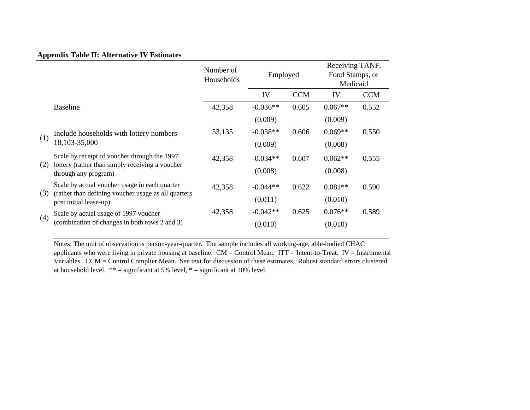# **Appendix Table II: Alternative IV Estimates**

|     |                                                                                                                                | Number of<br>Households | Employed   |            | Receiving TANF,<br>Food Stamps, or<br>Medicaid |            |
|-----|--------------------------------------------------------------------------------------------------------------------------------|-------------------------|------------|------------|------------------------------------------------|------------|
|     |                                                                                                                                |                         | IV         | <b>CCM</b> | IV                                             | <b>CCM</b> |
|     | <b>Baseline</b>                                                                                                                | 42,358                  | $-0.036**$ | 0.605      | $0.067**$                                      | 0.552      |
|     |                                                                                                                                |                         | (0.009)    |            | (0.009)                                        |            |
| (1) | Include households with lottery numbers<br>18,103-35,000                                                                       | 53,135                  | $-0.038**$ | 0.606      | $0.069**$                                      | 0.550      |
|     |                                                                                                                                |                         | (0.009)    |            | (0.008)                                        |            |
| (2) | Scale by receipt of voucher through the 1997<br>lottery (rather than simply receiving a voucher<br>through any program)        | 42,358                  | $-0.034**$ | 0.607      | $0.062**$                                      | 0.555      |
|     |                                                                                                                                |                         | (0.008)    |            | (0.008)                                        |            |
| (3) | Scale by actual voucher usage in each quarter<br>(rather than defining voucher usage as all quarters<br>post initial lease-up) | 42,358                  | $-0.044**$ | 0.622      | $0.081**$                                      | 0.590      |
|     |                                                                                                                                |                         | (0.011)    |            | (0.010)                                        |            |
|     | Scale by actual usage of 1997 voucher<br>(combination of changes in both rows 2 and 3)                                         | 42,358                  | $-0.042**$ | 0.625      | $0.076**$                                      | 0.589      |
| (4) |                                                                                                                                |                         | (0.010)    |            | (0.010)                                        |            |

Notes: The unit of observation is person-year-quarter. The sample includes all working-age, able-bodied CHAC applicants who were living in private housing at baseline. CM = Control Mean. ITT = Intent-to-Treat. IV = Instrumental Variables. CCM = Control Complier Mean. See text for discussion of these estimates. Robust standard errors clustered at household level.  $** =$  significant at 5% level,  $* =$  significant at 10% level.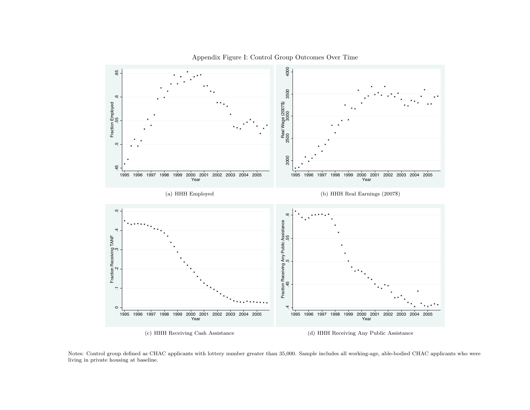



Notes: Control group defined as CHAC applicants with lottery number greater than 35,000. Sample includes all working-age, able-bodied CHAC applicants who wereliving in private housing at baseline.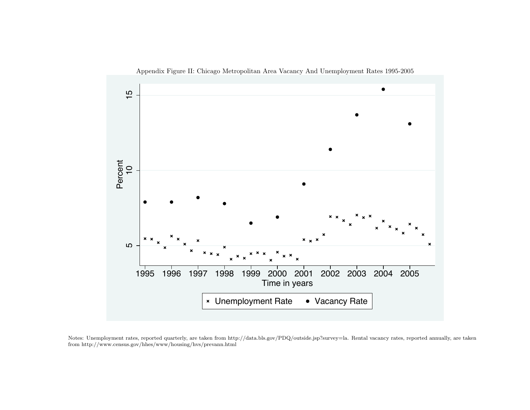

Appendix Figure II: Chicago Metropolitan Area Vacancy And Unemployment Rates 1995-2005

Notes: Unemployment rates, reported quarterly, are taken from http://data.bls.gov/PDQ/outside.jsp?survey=la. Rental vacancy rates, reported annually, are taken from http://www.census.gov/hhes/www/housing/hvs/prevann.html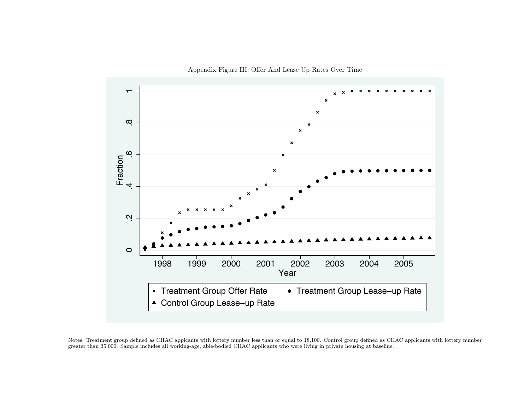



Notes: Treatment group defined as CHAC appicants with lottery number less than or equal to 18,100. Control group defined as CHAC applicants with lottery numbergreater than 35,000. Sample includes all working-age, able-bodied CHAC applicants who were living in private housing at baseline.